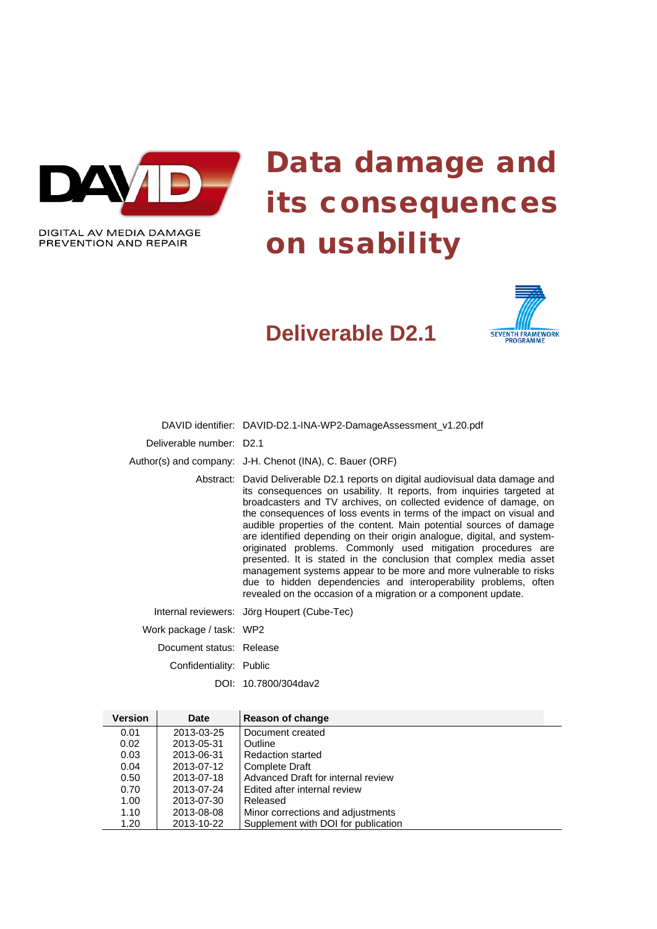

# Data damage and its consequences on usability

# **Deliverable D2.1**



DAVID identifier: DAVID-D2.1-INA-WP2-DamageAssessment\_v1.20.pdf

Deliverable number: D2.1

Author(s) and company: J-H. Chenot (INA), C. Bauer (ORF)

Abstract: David Deliverable D2.1 reports on digital audiovisual data damage and its consequences on usability. It reports, from inquiries targeted at broadcasters and TV archives, on collected evidence of damage, on the consequences of loss events in terms of the impact on visual and audible properties of the content. Main potential sources of damage are identified depending on their origin analogue, digital, and systemoriginated problems. Commonly used mitigation procedures are presented. It is stated in the conclusion that complex media asset management systems appear to be more and more vulnerable to risks due to hidden dependencies and interoperability problems, often revealed on the occasion of a migration or a component update.

Internal reviewers: Jörg Houpert (Cube-Tec)

Work package / task: WP2

Document status: Release

Confidentiality: Public

DOI: 10.7800/304dav2

| <b>Version</b> | <b>Date</b> | Reason of change                    |  |
|----------------|-------------|-------------------------------------|--|
| 0.01           | 2013-03-25  | Document created                    |  |
| 0.02           | 2013-05-31  | Outline                             |  |
| 0.03           | 2013-06-31  | <b>Redaction started</b>            |  |
| 0.04           | 2013-07-12  | <b>Complete Draft</b>               |  |
| 0.50           | 2013-07-18  | Advanced Draft for internal review  |  |
| 0.70           | 2013-07-24  | Edited after internal review        |  |
| 1.00           | 2013-07-30  | Released                            |  |
| 1.10           | 2013-08-08  | Minor corrections and adjustments   |  |
| 1.20           | 2013-10-22  | Supplement with DOI for publication |  |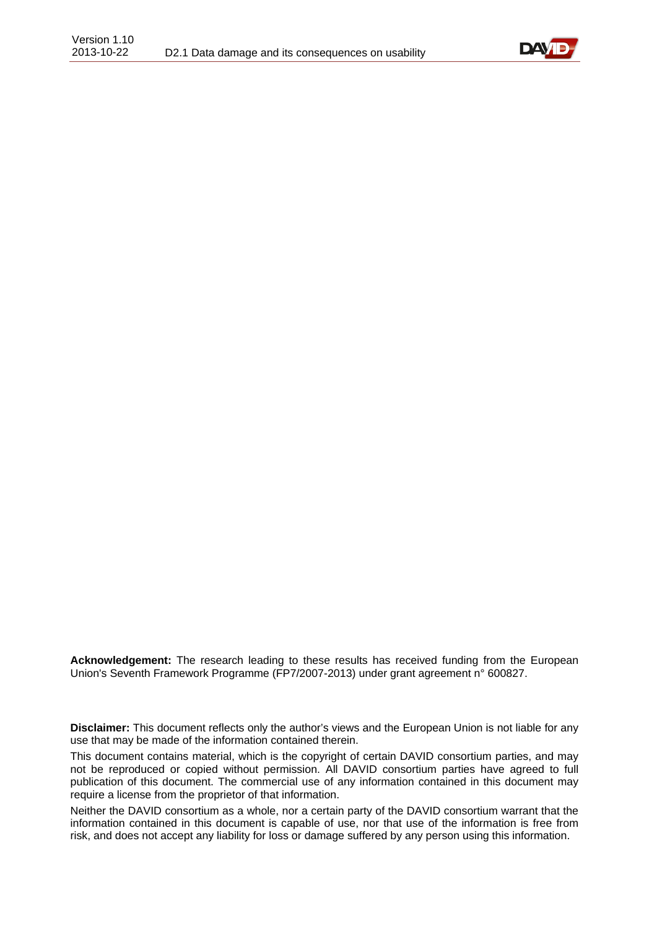

**Acknowledgement:** The research leading to these results has received funding from the European Union's Seventh Framework Programme (FP7/2007-2013) under grant agreement n° 600827.

**Disclaimer:** This document reflects only the author's views and the European Union is not liable for any use that may be made of the information contained therein.

This document contains material, which is the copyright of certain DAVID consortium parties, and may not be reproduced or copied without permission. All DAVID consortium parties have agreed to full publication of this document. The commercial use of any information contained in this document may require a license from the proprietor of that information.

Neither the DAVID consortium as a whole, nor a certain party of the DAVID consortium warrant that the information contained in this document is capable of use, nor that use of the information is free from risk, and does not accept any liability for loss or damage suffered by any person using this information.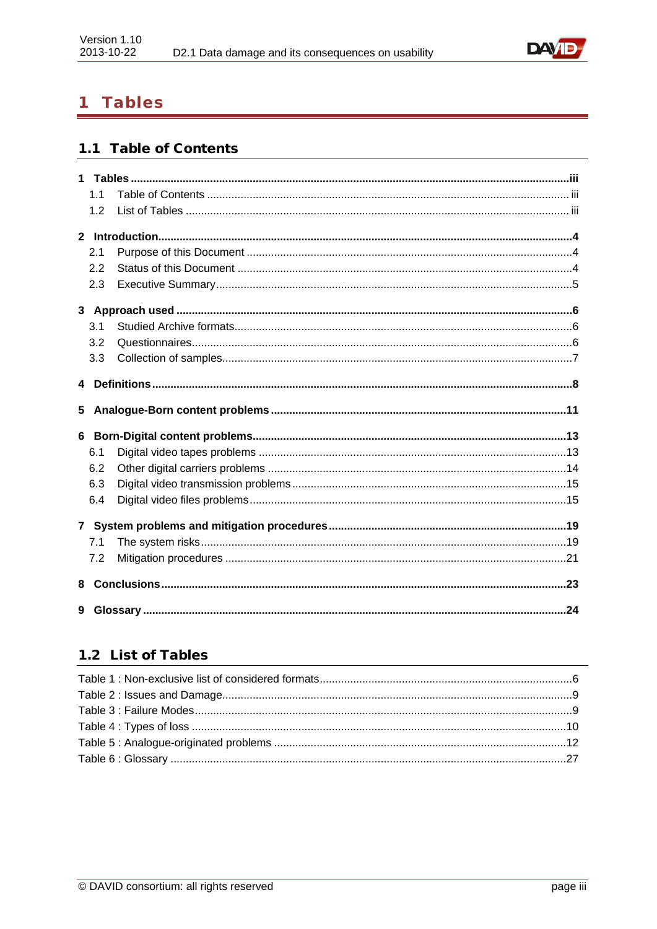

#### <span id="page-2-0"></span>**Tables**  $\mathbf 1$

# <span id="page-2-1"></span>1.1 Table of Contents

|   | 1 <sub>1</sub> |  |
|---|----------------|--|
|   | 1.2            |  |
|   |                |  |
|   | 2.1            |  |
|   | 2.2            |  |
|   | 2.3            |  |
|   |                |  |
|   | 3.1            |  |
|   | 3.2            |  |
|   | 3.3            |  |
|   |                |  |
|   |                |  |
| 5 |                |  |
|   |                |  |
|   | 6.1            |  |
|   | 6.2            |  |
|   | 6.3            |  |
|   | 6.4            |  |
|   |                |  |
|   | 7.1            |  |
|   | 7.2            |  |
| 8 |                |  |

# <span id="page-2-2"></span>1.2 List of Tables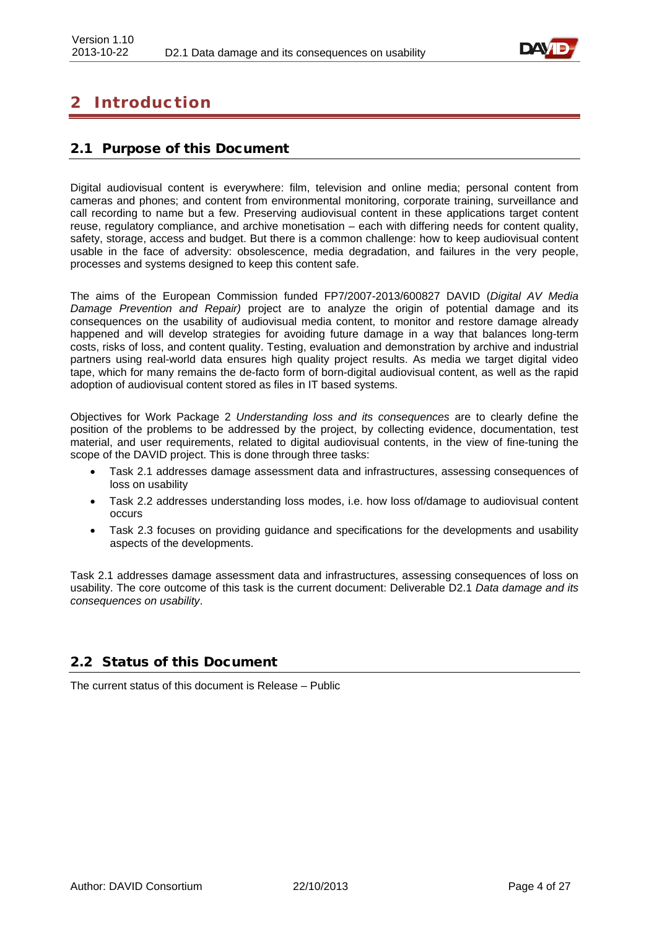

# <span id="page-3-0"></span>2 Introduction

### <span id="page-3-1"></span>2.1 Purpose of this Document

Digital audiovisual content is everywhere: film, television and online media; personal content from cameras and phones; and content from environmental monitoring, corporate training, surveillance and call recording to name but a few. Preserving audiovisual content in these applications target content reuse, regulatory compliance, and archive monetisation – each with differing needs for content quality, safety, storage, access and budget. But there is a common challenge: how to keep audiovisual content usable in the face of adversity: obsolescence, media degradation, and failures in the very people, processes and systems designed to keep this content safe.

The aims of the European Commission funded FP7/2007-2013/600827 DAVID (*Digital AV Media Damage Prevention and Repair)* project are to analyze the origin of potential damage and its consequences on the usability of audiovisual media content, to monitor and restore damage already happened and will develop strategies for avoiding future damage in a way that balances long-term costs, risks of loss, and content quality. Testing, evaluation and demonstration by archive and industrial partners using real-world data ensures high quality project results. As media we target digital video tape, which for many remains the de-facto form of born-digital audiovisual content, as well as the rapid adoption of audiovisual content stored as files in IT based systems.

Objectives for Work Package 2 *Understanding loss and its consequences* are to clearly define the position of the problems to be addressed by the project, by collecting evidence, documentation, test material, and user requirements, related to digital audiovisual contents, in the view of fine-tuning the scope of the DAVID project. This is done through three tasks:

- Task 2.1 addresses damage assessment data and infrastructures, assessing consequences of loss on usability
- Task 2.2 addresses understanding loss modes, i.e. how loss of/damage to audiovisual content occurs
- Task 2.3 focuses on providing guidance and specifications for the developments and usability aspects of the developments.

Task 2.1 addresses damage assessment data and infrastructures, assessing consequences of loss on usability. The core outcome of this task is the current document: Deliverable D2.1 *Data damage and its consequences on usability*.

### <span id="page-3-2"></span>2.2 Status of this Document

The current status of this document is Release – Public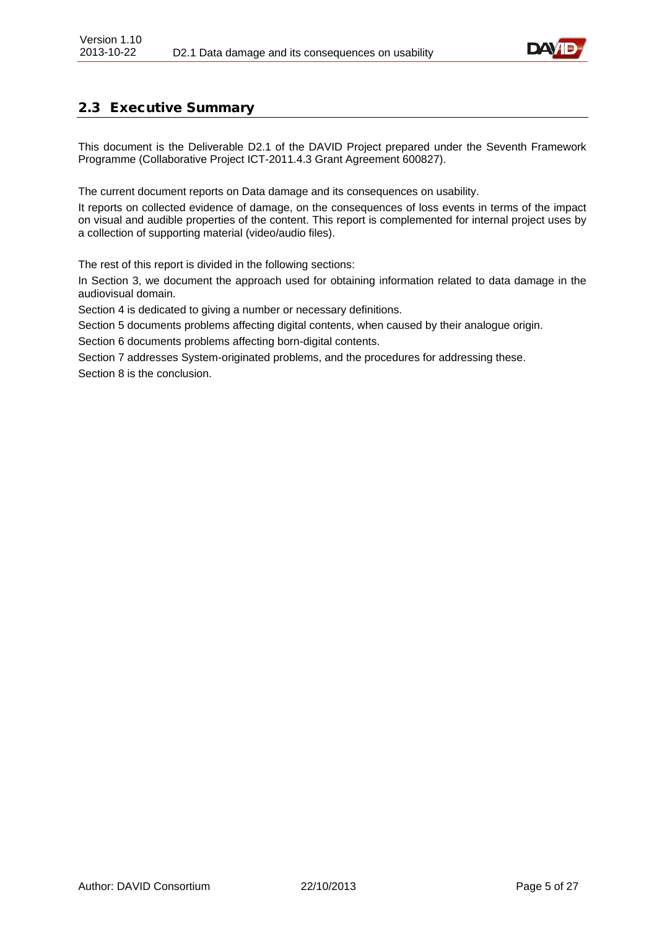

# <span id="page-4-0"></span>2.3 Executive Summary

This document is the Deliverable D2.1 of the DAVID Project prepared under the Seventh Framework Programme (Collaborative Project ICT-2011.4.3 Grant Agreement 600827).

The current document reports on Data damage and its consequences on usability.

It reports on collected evidence of damage, on the consequences of loss events in terms of the impact on visual and audible properties of the content. This report is complemented for internal project uses by a collection of supporting material (video/audio files).

The rest of this report is divided in the following sections:

In Section 3, we document the approach used for obtaining information related to data damage in the audiovisual domain.

Section 4 is dedicated to giving a number or necessary definitions.

Section 5 documents problems affecting digital contents, when caused by their analogue origin.

Section 6 documents problems affecting born-digital contents.

Section 7 addresses System-originated problems, and the procedures for addressing these. Section 8 is the conclusion.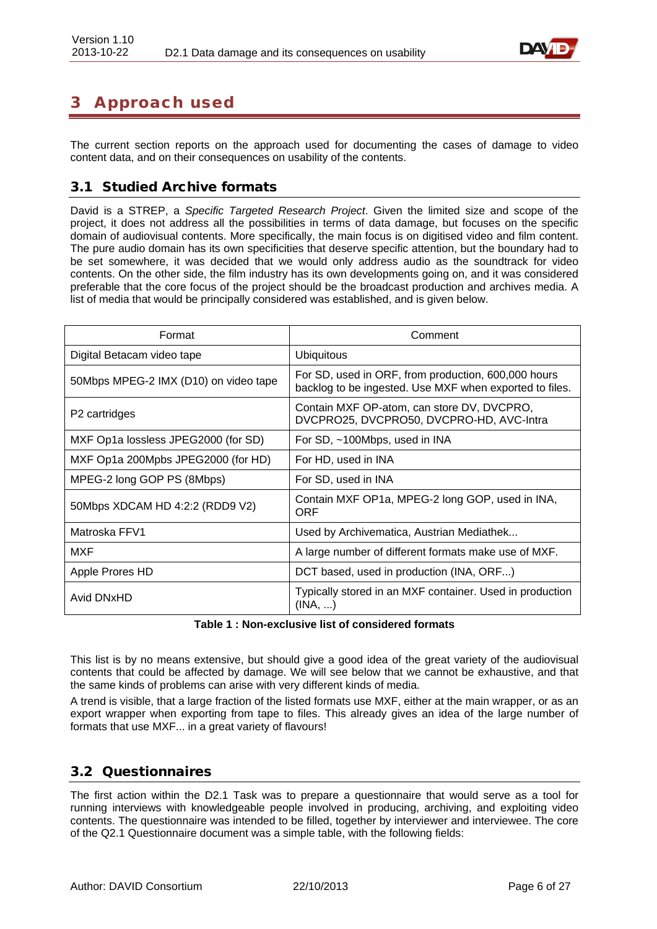

# <span id="page-5-0"></span>3 Approach used

The current section reports on the approach used for documenting the cases of damage to video content data, and on their consequences on usability of the contents.

### <span id="page-5-1"></span>3.1 Studied Archive formats

David is a STREP, a *Specific Targeted Research Project*. Given the limited size and scope of the project, it does not address all the possibilities in terms of data damage, but focuses on the specific domain of audiovisual contents. More specifically, the main focus is on digitised video and film content. The pure audio domain has its own specificities that deserve specific attention, but the boundary had to be set somewhere, it was decided that we would only address audio as the soundtrack for video contents. On the other side, the film industry has its own developments going on, and it was considered preferable that the core focus of the project should be the broadcast production and archives media. A list of media that would be principally considered was established, and is given below.

| Format                                | Comment                                                                                                        |
|---------------------------------------|----------------------------------------------------------------------------------------------------------------|
| Digital Betacam video tape            | <b>Ubiquitous</b>                                                                                              |
| 50Mbps MPEG-2 IMX (D10) on video tape | For SD, used in ORF, from production, 600,000 hours<br>backlog to be ingested. Use MXF when exported to files. |
| P <sub>2</sub> cartridges             | Contain MXF OP-atom, can store DV, DVCPRO,<br>DVCPRO25, DVCPRO50, DVCPRO-HD, AVC-Intra                         |
| MXF Op1a lossless JPEG2000 (for SD)   | For SD, ~100Mbps, used in INA                                                                                  |
| MXF Op1a 200Mpbs JPEG2000 (for HD)    | For HD, used in INA                                                                                            |
| MPEG-2 long GOP PS (8Mbps)            | For SD, used in INA                                                                                            |
| 50Mbps XDCAM HD 4:2:2 (RDD9 V2)       | Contain MXF OP1a, MPEG-2 long GOP, used in INA,<br>ORF                                                         |
| Matroska FFV1                         | Used by Archivematica, Austrian Mediathek                                                                      |
| MXF                                   | A large number of different formats make use of MXF.                                                           |
| Apple Prores HD                       | DCT based, used in production (INA, ORF)                                                                       |
| Avid DNxHD                            | Typically stored in an MXF container. Used in production<br>(INA, )                                            |

**Table 1 : Non-exclusive list of considered formats**

<span id="page-5-3"></span>This list is by no means extensive, but should give a good idea of the great variety of the audiovisual contents that could be affected by damage. We will see below that we cannot be exhaustive, and that the same kinds of problems can arise with very different kinds of media.

A trend is visible, that a large fraction of the listed formats use MXF, either at the main wrapper, or as an export wrapper when exporting from tape to files. This already gives an idea of the large number of formats that use MXF... in a great variety of flavours!

### <span id="page-5-2"></span>3.2 Questionnaires

The first action within the D2.1 Task was to prepare a questionnaire that would serve as a tool for running interviews with knowledgeable people involved in producing, archiving, and exploiting video contents. The questionnaire was intended to be filled, together by interviewer and interviewee. The core of the Q2.1 Questionnaire document was a simple table, with the following fields: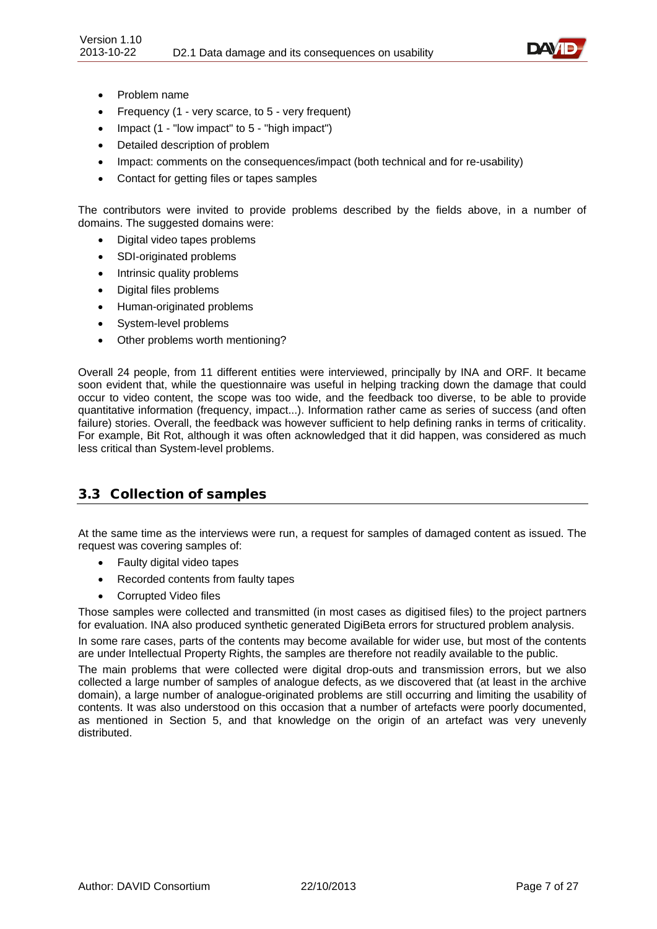

- Problem name
- Frequency (1 very scarce, to 5 very frequent)
- Impact (1 "low impact" to 5 "high impact")
- Detailed description of problem
- Impact: comments on the consequences/impact (both technical and for re-usability)
- Contact for getting files or tapes samples

The contributors were invited to provide problems described by the fields above, in a number of domains. The suggested domains were:

- Digital video tapes problems
- SDI-originated problems
- Intrinsic quality problems
- Digital files problems
- Human-originated problems
- System-level problems
- Other problems worth mentioning?

Overall 24 people, from 11 different entities were interviewed, principally by INA and ORF. It became soon evident that, while the questionnaire was useful in helping tracking down the damage that could occur to video content, the scope was too wide, and the feedback too diverse, to be able to provide quantitative information (frequency, impact...). Information rather came as series of success (and often failure) stories. Overall, the feedback was however sufficient to help defining ranks in terms of criticality. For example, Bit Rot, although it was often acknowledged that it did happen, was considered as much less critical than System-level problems.

### <span id="page-6-0"></span>3.3 Collection of samples

At the same time as the interviews were run, a request for samples of damaged content as issued. The request was covering samples of:

- Faulty digital video tapes
- Recorded contents from faulty tapes
- Corrupted Video files

Those samples were collected and transmitted (in most cases as digitised files) to the project partners for evaluation. INA also produced synthetic generated DigiBeta errors for structured problem analysis.

In some rare cases, parts of the contents may become available for wider use, but most of the contents are under Intellectual Property Rights, the samples are therefore not readily available to the public.

The main problems that were collected were digital drop-outs and transmission errors, but we also collected a large number of samples of analogue defects, as we discovered that (at least in the archive domain), a large number of analogue-originated problems are still occurring and limiting the usability of contents. It was also understood on this occasion that a number of artefacts were poorly documented, as mentioned in Section 5, and that knowledge on the origin of an artefact was very unevenly distributed.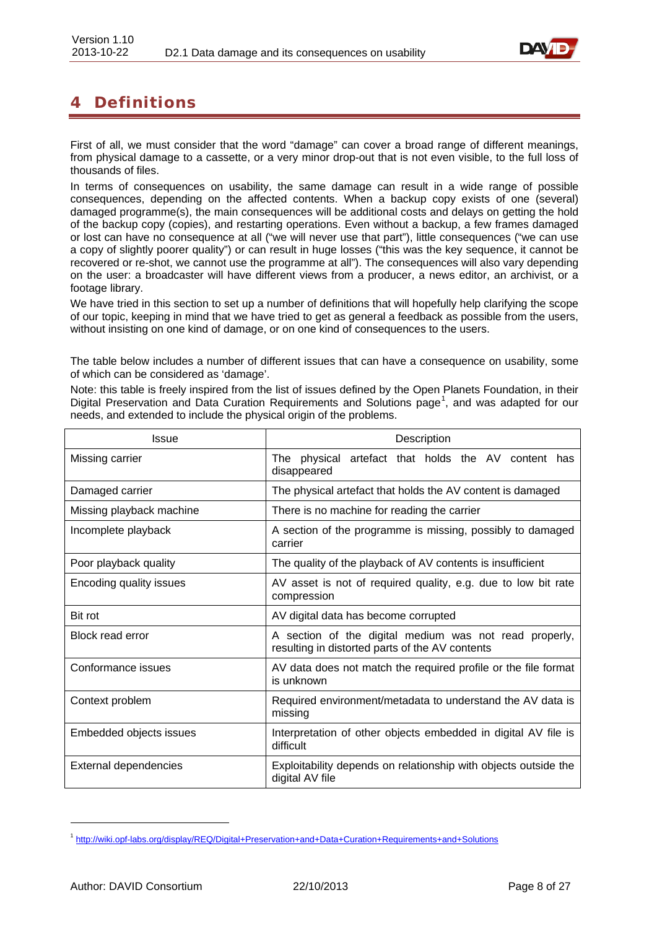

# <span id="page-7-0"></span>4 Definitions

First of all, we must consider that the word "damage" can cover a broad range of different meanings, from physical damage to a cassette, or a very minor drop-out that is not even visible, to the full loss of thousands of files.

In terms of consequences on usability, the same damage can result in a wide range of possible consequences, depending on the affected contents. When a backup copy exists of one (several) damaged programme(s), the main consequences will be additional costs and delays on getting the hold of the backup copy (copies), and restarting operations. Even without a backup, a few frames damaged or lost can have no consequence at all ("we will never use that part"), little consequences ("we can use a copy of slightly poorer quality") or can result in huge losses ("this was the key sequence, it cannot be recovered or re-shot, we cannot use the programme at all"). The consequences will also vary depending on the user: a broadcaster will have different views from a producer, a news editor, an archivist, or a footage library.

We have tried in this section to set up a number of definitions that will hopefully help clarifying the scope of our topic, keeping in mind that we have tried to get as general a feedback as possible from the users, without insisting on one kind of damage, or on one kind of consequences to the users.

The table below includes a number of different issues that can have a consequence on usability, some of which can be considered as 'damage'.

Note: this table is freely inspired from the list of issues defined by the Open Planets Foundation, in their Digital Preservation and Data Curation Requirements and Solutions page<sup>[1](#page-7-1)</sup>, and was adapted for our needs, and extended to include the physical origin of the problems.

| <b>Issue</b>             | Description                                                                                               |
|--------------------------|-----------------------------------------------------------------------------------------------------------|
| Missing carrier          | artefact that holds the AV content has<br>The physical<br>disappeared                                     |
| Damaged carrier          | The physical artefact that holds the AV content is damaged                                                |
| Missing playback machine | There is no machine for reading the carrier                                                               |
| Incomplete playback      | A section of the programme is missing, possibly to damaged<br>carrier                                     |
| Poor playback quality    | The quality of the playback of AV contents is insufficient                                                |
| Encoding quality issues  | AV asset is not of required quality, e.g. due to low bit rate<br>compression                              |
| Bit rot                  | AV digital data has become corrupted                                                                      |
| Block read error         | A section of the digital medium was not read properly,<br>resulting in distorted parts of the AV contents |
| Conformance issues       | AV data does not match the required profile or the file format<br>is unknown                              |
| Context problem          | Required environment/metadata to understand the AV data is<br>missing                                     |
| Embedded objects issues  | Interpretation of other objects embedded in digital AV file is<br>difficult                               |
| External dependencies    | Exploitability depends on relationship with objects outside the<br>digital AV file                        |

-

<span id="page-7-1"></span><sup>1</sup> <http://wiki.opf-labs.org/display/REQ/Digital+Preservation+and+Data+Curation+Requirements+and+Solutions>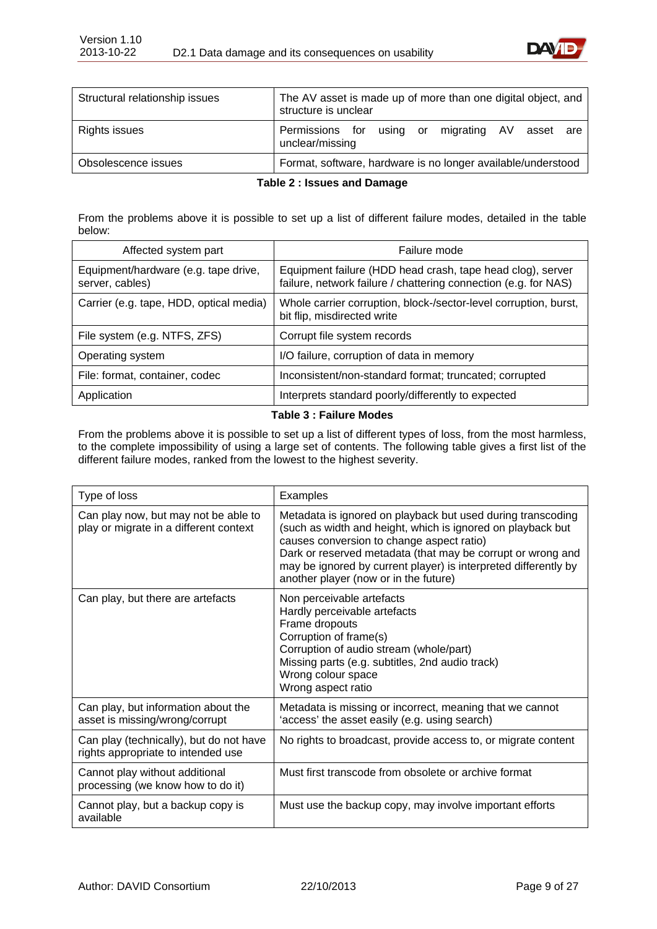

| Structural relationship issues | The AV asset is made up of more than one digital object, and<br>structure is unclear |  |  |
|--------------------------------|--------------------------------------------------------------------------------------|--|--|
| Rights issues                  | Permissions for using or migrating AV asset<br>are<br>unclear/missing                |  |  |
| Obsolescence issues            | Format, software, hardware is no longer available/understood                         |  |  |

#### **Table 2 : Issues and Damage**

<span id="page-8-0"></span>From the problems above it is possible to set up a list of different failure modes, detailed in the table below:

| Affected system part                                    | Failure mode                                                                                                                  |
|---------------------------------------------------------|-------------------------------------------------------------------------------------------------------------------------------|
| Equipment/hardware (e.g. tape drive,<br>server, cables) | Equipment failure (HDD head crash, tape head clog), server<br>failure, network failure / chattering connection (e.g. for NAS) |
| Carrier (e.g. tape, HDD, optical media)                 | Whole carrier corruption, block-/sector-level corruption, burst,<br>bit flip, misdirected write                               |
| File system (e.g. NTFS, ZFS)                            | Corrupt file system records                                                                                                   |
| Operating system                                        | I/O failure, corruption of data in memory                                                                                     |
| File: format, container, codec                          | Inconsistent/non-standard format; truncated; corrupted                                                                        |
| Application                                             | Interprets standard poorly/differently to expected                                                                            |

#### **Table 3 : Failure Modes**

<span id="page-8-1"></span>From the problems above it is possible to set up a list of different types of loss, from the most harmless, to the complete impossibility of using a large set of contents. The following table gives a first list of the different failure modes, ranked from the lowest to the highest severity.

| Type of loss                                                                   | Examples                                                                                                                                                                                                                                                                                                                                           |
|--------------------------------------------------------------------------------|----------------------------------------------------------------------------------------------------------------------------------------------------------------------------------------------------------------------------------------------------------------------------------------------------------------------------------------------------|
| Can play now, but may not be able to<br>play or migrate in a different context | Metadata is ignored on playback but used during transcoding<br>(such as width and height, which is ignored on playback but<br>causes conversion to change aspect ratio)<br>Dark or reserved metadata (that may be corrupt or wrong and<br>may be ignored by current player) is interpreted differently by<br>another player (now or in the future) |
| Can play, but there are artefacts                                              | Non perceivable artefacts<br>Hardly perceivable artefacts<br>Frame dropouts<br>Corruption of frame(s)<br>Corruption of audio stream (whole/part)<br>Missing parts (e.g. subtitles, 2nd audio track)<br>Wrong colour space<br>Wrong aspect ratio                                                                                                    |
| Can play, but information about the<br>asset is missing/wrong/corrupt          | Metadata is missing or incorrect, meaning that we cannot<br>'access' the asset easily (e.g. using search)                                                                                                                                                                                                                                          |
| Can play (technically), but do not have<br>rights appropriate to intended use  | No rights to broadcast, provide access to, or migrate content                                                                                                                                                                                                                                                                                      |
| Cannot play without additional<br>processing (we know how to do it)            | Must first transcode from obsolete or archive format                                                                                                                                                                                                                                                                                               |
| Cannot play, but a backup copy is<br>available                                 | Must use the backup copy, may involve important efforts                                                                                                                                                                                                                                                                                            |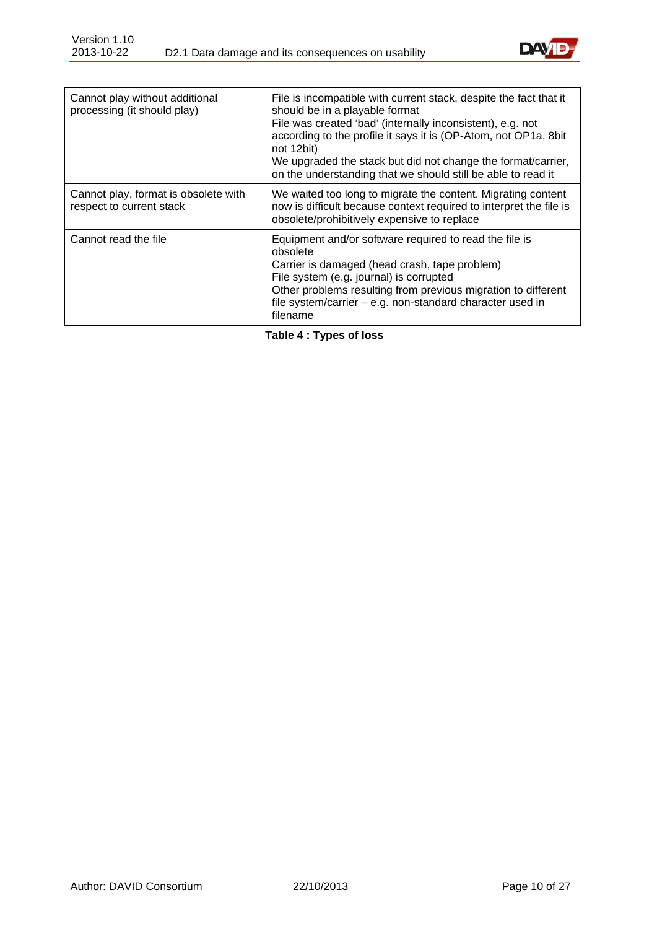

| Cannot play without additional<br>processing (it should play)    | File is incompatible with current stack, despite the fact that it<br>should be in a playable format<br>File was created 'bad' (internally inconsistent), e.g. not<br>according to the profile it says it is (OP-Atom, not OP1a, 8bit<br>not 12bit)<br>We upgraded the stack but did not change the format/carrier,<br>on the understanding that we should still be able to read it |
|------------------------------------------------------------------|------------------------------------------------------------------------------------------------------------------------------------------------------------------------------------------------------------------------------------------------------------------------------------------------------------------------------------------------------------------------------------|
| Cannot play, format is obsolete with<br>respect to current stack | We waited too long to migrate the content. Migrating content<br>now is difficult because context required to interpret the file is<br>obsolete/prohibitively expensive to replace                                                                                                                                                                                                  |
| Cannot read the file                                             | Equipment and/or software required to read the file is<br>obsolete<br>Carrier is damaged (head crash, tape problem)<br>File system (e.g. journal) is corrupted<br>Other problems resulting from previous migration to different<br>file system/carrier $-$ e.g. non-standard character used in<br>filename                                                                         |

<span id="page-9-0"></span>**Table 4 : Types of loss**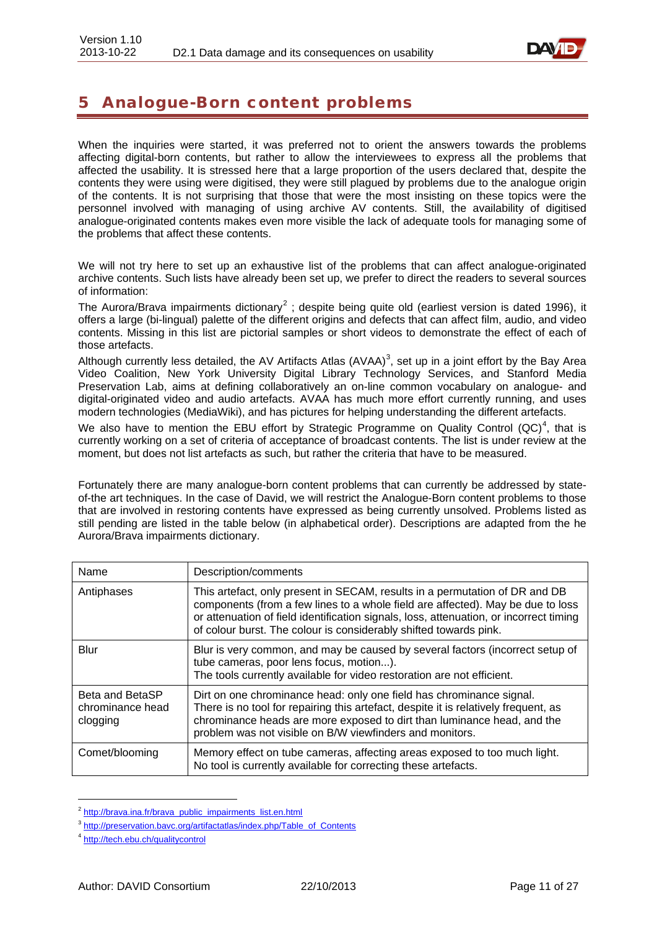

# <span id="page-10-0"></span>5 Analogue-Born content problems

When the inquiries were started, it was preferred not to orient the answers towards the problems affecting digital-born contents, but rather to allow the interviewees to express all the problems that affected the usability. It is stressed here that a large proportion of the users declared that, despite the contents they were using were digitised, they were still plagued by problems due to the analogue origin of the contents. It is not surprising that those that were the most insisting on these topics were the personnel involved with managing of using archive AV contents. Still, the availability of digitised analogue-originated contents makes even more visible the lack of adequate tools for managing some of the problems that affect these contents.

We will not try here to set up an exhaustive list of the problems that can affect analogue-originated archive contents. Such lists have already been set up, we prefer to direct the readers to several sources of information:

The Aurora/Brava impairments dictionary<sup>[2](#page-10-1)</sup>; despite being quite old (earliest version is dated 1996), it offers a large (bi-lingual) palette of the different origins and defects that can affect film, audio, and video contents. Missing in this list are pictorial samples or short videos to demonstrate the effect of each of those artefacts.

Although currently less detailed, the AV Artifacts Atlas (AVAA)<sup>[3](#page-10-2)</sup>, set up in a joint effort by the Bay Area Video Coalition, New York University Digital Library Technology Services, and Stanford Media Preservation Lab, aims at defining collaboratively an on-line common vocabulary on analogue- and digital-originated video and audio artefacts. AVAA has much more effort currently running, and uses modern technologies (MediaWiki), and has pictures for helping understanding the different artefacts.

We also have to mention the EBU effort by Strategic Programme on Quality Control  $(QC)^4$  $(QC)^4$ , that is currently working on a set of criteria of acceptance of broadcast contents. The list is under review at the moment, but does not list artefacts as such, but rather the criteria that have to be measured.

Fortunately there are many analogue-born content problems that can currently be addressed by stateof-the art techniques. In the case of David, we will restrict the Analogue-Born content problems to those that are involved in restoring contents have expressed as being currently unsolved. Problems listed as still pending are listed in the table below (in alphabetical order). Descriptions are adapted from the he Aurora/Brava impairments dictionary.

| Name                                            | Description/comments                                                                                                                                                                                                                                                                                                          |
|-------------------------------------------------|-------------------------------------------------------------------------------------------------------------------------------------------------------------------------------------------------------------------------------------------------------------------------------------------------------------------------------|
| Antiphases                                      | This artefact, only present in SECAM, results in a permutation of DR and DB<br>components (from a few lines to a whole field are affected). May be due to loss<br>or attenuation of field identification signals, loss, attenuation, or incorrect timing<br>of colour burst. The colour is considerably shifted towards pink. |
| Blur                                            | Blur is very common, and may be caused by several factors (incorrect setup of<br>tube cameras, poor lens focus, motion).<br>The tools currently available for video restoration are not efficient.                                                                                                                            |
| Beta and BetaSP<br>chrominance head<br>clogging | Dirt on one chrominance head: only one field has chrominance signal.<br>There is no tool for repairing this artefact, despite it is relatively frequent, as<br>chrominance heads are more exposed to dirt than luminance head, and the<br>problem was not visible on B/W viewfinders and monitors.                            |
| Comet/blooming                                  | Memory effect on tube cameras, affecting areas exposed to too much light.<br>No tool is currently available for correcting these artefacts.                                                                                                                                                                                   |

<span id="page-10-1"></span><sup>&</sup>lt;sup>2</sup> [http://brava.ina.fr/brava\\_public\\_impairments\\_list.en.html](http://brava.ina.fr/brava_public_impairments_list.en.html)

<span id="page-10-2"></span><sup>3</sup> [http://preservation.bavc.org/artifactatlas/index.php/Table\\_of\\_Contents](http://preservation.bavc.org/artifactatlas/index.php/Table_of_Contents)

<span id="page-10-3"></span><sup>4</sup> <http://tech.ebu.ch/qualitycontrol>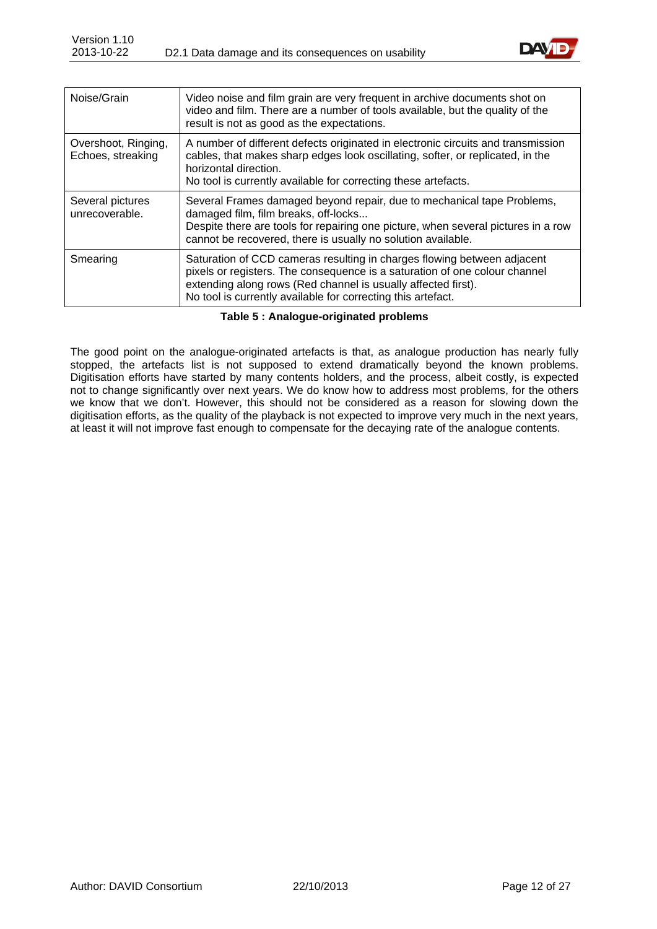

| Noise/Grain                              | Video noise and film grain are very frequent in archive documents shot on<br>video and film. There are a number of tools available, but the quality of the<br>result is not as good as the expectations.                                                                               |
|------------------------------------------|----------------------------------------------------------------------------------------------------------------------------------------------------------------------------------------------------------------------------------------------------------------------------------------|
| Overshoot, Ringing,<br>Echoes, streaking | A number of different defects originated in electronic circuits and transmission<br>cables, that makes sharp edges look oscillating, softer, or replicated, in the<br>horizontal direction.<br>No tool is currently available for correcting these artefacts.                          |
| Several pictures<br>unrecoverable.       | Several Frames damaged beyond repair, due to mechanical tape Problems,<br>damaged film, film breaks, off-locks<br>Despite there are tools for repairing one picture, when several pictures in a row<br>cannot be recovered, there is usually no solution available.                    |
| Smearing                                 | Saturation of CCD cameras resulting in charges flowing between adjacent<br>pixels or registers. The consequence is a saturation of one colour channel<br>extending along rows (Red channel is usually affected first).<br>No tool is currently available for correcting this artefact. |

**Table 5 : Analogue-originated problems**

<span id="page-11-0"></span>The good point on the analogue-originated artefacts is that, as analogue production has nearly fully stopped, the artefacts list is not supposed to extend dramatically beyond the known problems. Digitisation efforts have started by many contents holders, and the process, albeit costly, is expected not to change significantly over next years. We do know how to address most problems, for the others we know that we don't. However, this should not be considered as a reason for slowing down the digitisation efforts, as the quality of the playback is not expected to improve very much in the next years, at least it will not improve fast enough to compensate for the decaying rate of the analogue contents.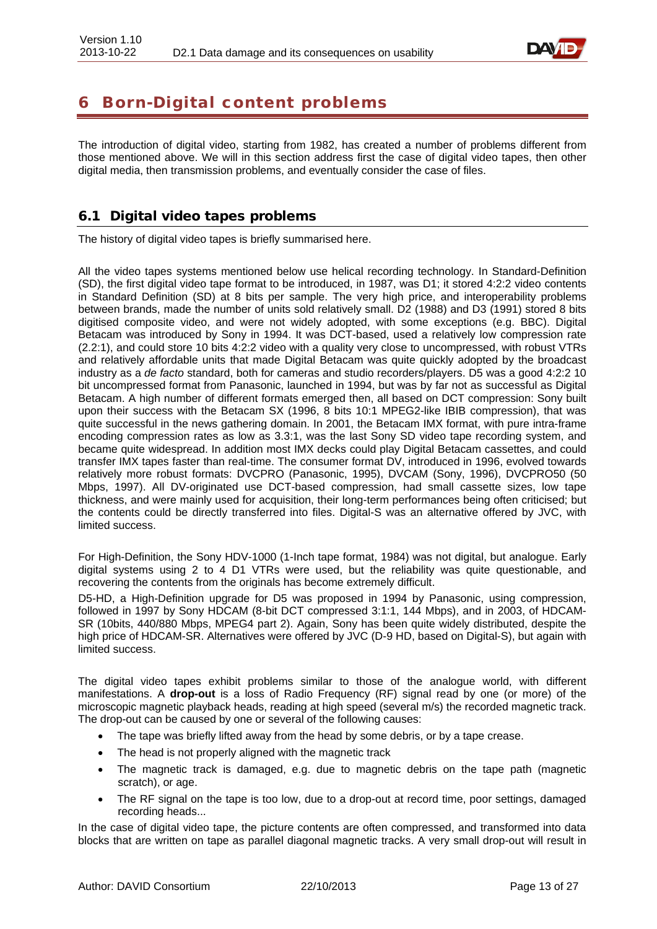

# <span id="page-12-0"></span>6 Born-Digital content problems

The introduction of digital video, starting from 1982, has created a number of problems different from those mentioned above. We will in this section address first the case of digital video tapes, then other digital media, then transmission problems, and eventually consider the case of files.

## <span id="page-12-1"></span>6.1 Digital video tapes problems

The history of digital video tapes is briefly summarised here.

All the video tapes systems mentioned below use helical recording technology. In Standard-Definition (SD), the first digital video tape format to be introduced, in 1987, was D1; it stored 4:2:2 video contents in Standard Definition (SD) at 8 bits per sample. The very high price, and interoperability problems between brands, made the number of units sold relatively small. D2 (1988) and D3 (1991) stored 8 bits digitised composite video, and were not widely adopted, with some exceptions (e.g. BBC). Digital Betacam was introduced by Sony in 1994. It was DCT-based, used a relatively low compression rate (2.2:1), and could store 10 bits 4:2:2 video with a quality very close to uncompressed, with robust VTRs and relatively affordable units that made Digital Betacam was quite quickly adopted by the broadcast industry as a *de facto* standard, both for cameras and studio recorders/players. D5 was a good 4:2:2 10 bit uncompressed format from Panasonic, launched in 1994, but was by far not as successful as Digital Betacam. A high number of different formats emerged then, all based on DCT compression: Sony built upon their success with the Betacam SX (1996, 8 bits 10:1 MPEG2-like IBIB compression), that was quite successful in the news gathering domain. In 2001, the Betacam IMX format, with pure intra-frame encoding compression rates as low as 3.3:1, was the last Sony SD video tape recording system, and became quite widespread. In addition most IMX decks could play Digital Betacam cassettes, and could transfer IMX tapes faster than real-time. The consumer format DV, introduced in 1996, evolved towards relatively more robust formats: DVCPRO (Panasonic, 1995), DVCAM (Sony, 1996), DVCPRO50 (50 Mbps, 1997). All DV-originated use DCT-based compression, had small cassette sizes, low tape thickness, and were mainly used for acquisition, their long-term performances being often criticised; but the contents could be directly transferred into files. Digital-S was an alternative offered by JVC, with limited success.

For High-Definition, the Sony HDV-1000 (1-Inch tape format, 1984) was not digital, but analogue. Early digital systems using 2 to 4 D1 VTRs were used, but the reliability was quite questionable, and recovering the contents from the originals has become extremely difficult.

D5-HD, a High-Definition upgrade for D5 was proposed in 1994 by Panasonic, using compression, followed in 1997 by Sony HDCAM (8-bit DCT compressed 3:1:1, 144 Mbps), and in 2003, of HDCAM-SR (10bits, 440/880 Mbps, MPEG4 part 2). Again, Sony has been quite widely distributed, despite the high price of HDCAM-SR. Alternatives were offered by JVC (D-9 HD, based on Digital-S), but again with limited success.

The digital video tapes exhibit problems similar to those of the analogue world, with different manifestations. A **drop-out** is a loss of Radio Frequency (RF) signal read by one (or more) of the microscopic magnetic playback heads, reading at high speed (several m/s) the recorded magnetic track. The drop-out can be caused by one or several of the following causes:

- The tape was briefly lifted away from the head by some debris, or by a tape crease.
- The head is not properly aligned with the magnetic track
- The magnetic track is damaged, e.g. due to magnetic debris on the tape path (magnetic scratch), or age.
- The RF signal on the tape is too low, due to a drop-out at record time, poor settings, damaged recording heads...

In the case of digital video tape, the picture contents are often compressed, and transformed into data blocks that are written on tape as parallel diagonal magnetic tracks. A very small drop-out will result in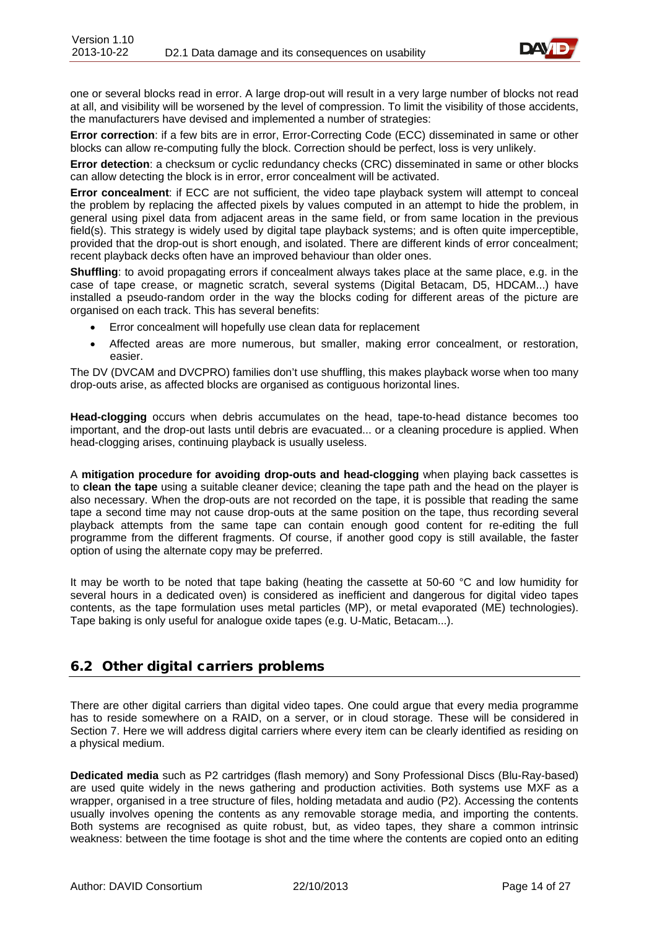

one or several blocks read in error. A large drop-out will result in a very large number of blocks not read at all, and visibility will be worsened by the level of compression. To limit the visibility of those accidents, the manufacturers have devised and implemented a number of strategies:

**Error correction**: if a few bits are in error, Error-Correcting Code (ECC) disseminated in same or other blocks can allow re-computing fully the block. Correction should be perfect, loss is very unlikely.

**Error detection**: a checksum or cyclic redundancy checks (CRC) disseminated in same or other blocks can allow detecting the block is in error, error concealment will be activated.

**Error concealment**: if ECC are not sufficient, the video tape playback system will attempt to conceal the problem by replacing the affected pixels by values computed in an attempt to hide the problem, in general using pixel data from adjacent areas in the same field, or from same location in the previous field(s). This strategy is widely used by digital tape playback systems; and is often quite imperceptible, provided that the drop-out is short enough, and isolated. There are different kinds of error concealment; recent playback decks often have an improved behaviour than older ones.

**Shuffling**: to avoid propagating errors if concealment always takes place at the same place, e.g. in the case of tape crease, or magnetic scratch, several systems (Digital Betacam, D5, HDCAM...) have installed a pseudo-random order in the way the blocks coding for different areas of the picture are organised on each track. This has several benefits:

- Error concealment will hopefully use clean data for replacement
- Affected areas are more numerous, but smaller, making error concealment, or restoration, easier.

The DV (DVCAM and DVCPRO) families don't use shuffling, this makes playback worse when too many drop-outs arise, as affected blocks are organised as contiguous horizontal lines.

**Head-clogging** occurs when debris accumulates on the head, tape-to-head distance becomes too important, and the drop-out lasts until debris are evacuated... or a cleaning procedure is applied. When head-clogging arises, continuing playback is usually useless.

A **mitigation procedure for avoiding drop-outs and head-clogging** when playing back cassettes is to **clean the tape** using a suitable cleaner device; cleaning the tape path and the head on the player is also necessary. When the drop-outs are not recorded on the tape, it is possible that reading the same tape a second time may not cause drop-outs at the same position on the tape, thus recording several playback attempts from the same tape can contain enough good content for re-editing the full programme from the different fragments. Of course, if another good copy is still available, the faster option of using the alternate copy may be preferred.

It may be worth to be noted that tape baking (heating the cassette at 50-60 °C and low humidity for several hours in a dedicated oven) is considered as inefficient and dangerous for digital video tapes contents, as the tape formulation uses metal particles (MP), or metal evaporated (ME) technologies). Tape baking is only useful for analogue oxide tapes (e.g. U-Matic, Betacam...).

### <span id="page-13-0"></span>6.2 Other digital carriers problems

There are other digital carriers than digital video tapes. One could argue that every media programme has to reside somewhere on a RAID, on a server, or in cloud storage. These will be considered in Section 7. Here we will address digital carriers where every item can be clearly identified as residing on a physical medium.

**Dedicated media** such as P2 cartridges (flash memory) and Sony Professional Discs (Blu-Ray-based) are used quite widely in the news gathering and production activities. Both systems use MXF as a wrapper, organised in a tree structure of files, holding metadata and audio (P2). Accessing the contents usually involves opening the contents as any removable storage media, and importing the contents. Both systems are recognised as quite robust, but, as video tapes, they share a common intrinsic weakness: between the time footage is shot and the time where the contents are copied onto an editing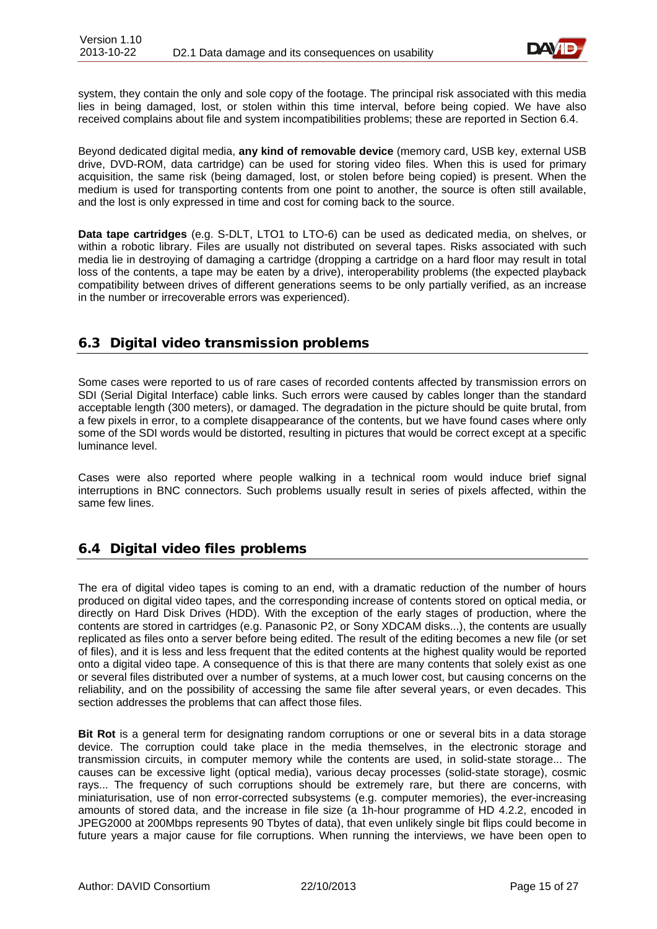

system, they contain the only and sole copy of the footage. The principal risk associated with this media lies in being damaged, lost, or stolen within this time interval, before being copied. We have also received complains about file and system incompatibilities problems; these are reported in Section 6.4.

Beyond dedicated digital media, **any kind of removable device** (memory card, USB key, external USB drive, DVD-ROM, data cartridge) can be used for storing video files. When this is used for primary acquisition, the same risk (being damaged, lost, or stolen before being copied) is present. When the medium is used for transporting contents from one point to another, the source is often still available, and the lost is only expressed in time and cost for coming back to the source.

**Data tape cartridges** (e.g. S-DLT, LTO1 to LTO-6) can be used as dedicated media, on shelves, or within a robotic library. Files are usually not distributed on several tapes. Risks associated with such media lie in destroying of damaging a cartridge (dropping a cartridge on a hard floor may result in total loss of the contents, a tape may be eaten by a drive), interoperability problems (the expected playback compatibility between drives of different generations seems to be only partially verified, as an increase in the number or irrecoverable errors was experienced).

### <span id="page-14-0"></span>6.3 Digital video transmission problems

Some cases were reported to us of rare cases of recorded contents affected by transmission errors on SDI (Serial Digital Interface) cable links. Such errors were caused by cables longer than the standard acceptable length (300 meters), or damaged. The degradation in the picture should be quite brutal, from a few pixels in error, to a complete disappearance of the contents, but we have found cases where only some of the SDI words would be distorted, resulting in pictures that would be correct except at a specific luminance level.

Cases were also reported where people walking in a technical room would induce brief signal interruptions in BNC connectors. Such problems usually result in series of pixels affected, within the same few lines.

# <span id="page-14-1"></span>6.4 Digital video files problems

The era of digital video tapes is coming to an end, with a dramatic reduction of the number of hours produced on digital video tapes, and the corresponding increase of contents stored on optical media, or directly on Hard Disk Drives (HDD). With the exception of the early stages of production, where the contents are stored in cartridges (e.g. Panasonic P2, or Sony XDCAM disks...), the contents are usually replicated as files onto a server before being edited. The result of the editing becomes a new file (or set of files), and it is less and less frequent that the edited contents at the highest quality would be reported onto a digital video tape. A consequence of this is that there are many contents that solely exist as one or several files distributed over a number of systems, at a much lower cost, but causing concerns on the reliability, and on the possibility of accessing the same file after several years, or even decades. This section addresses the problems that can affect those files.

**Bit Rot** is a general term for designating random corruptions or one or several bits in a data storage device. The corruption could take place in the media themselves, in the electronic storage and transmission circuits, in computer memory while the contents are used, in solid-state storage... The causes can be excessive light (optical media), various decay processes (solid-state storage), cosmic rays... The frequency of such corruptions should be extremely rare, but there are concerns, with miniaturisation, use of non error-corrected subsystems (e.g. computer memories), the ever-increasing amounts of stored data, and the increase in file size (a 1h-hour programme of HD 4.2.2, encoded in JPEG2000 at 200Mbps represents 90 Tbytes of data), that even unlikely single bit flips could become in future years a major cause for file corruptions. When running the interviews, we have been open to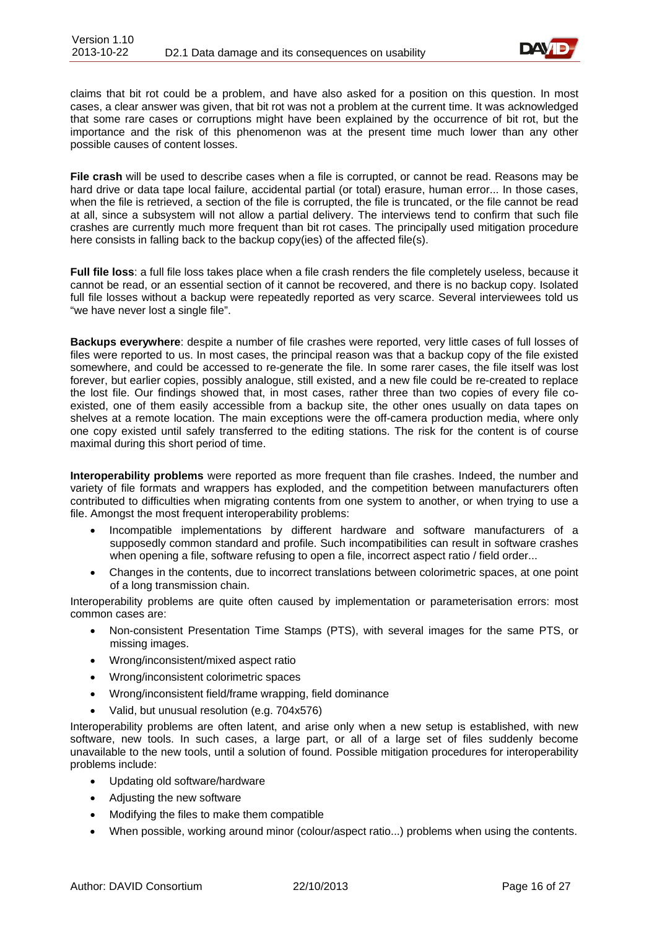

claims that bit rot could be a problem, and have also asked for a position on this question. In most cases, a clear answer was given, that bit rot was not a problem at the current time. It was acknowledged that some rare cases or corruptions might have been explained by the occurrence of bit rot, but the importance and the risk of this phenomenon was at the present time much lower than any other possible causes of content losses.

**File crash** will be used to describe cases when a file is corrupted, or cannot be read. Reasons may be hard drive or data tape local failure, accidental partial (or total) erasure, human error... In those cases, when the file is retrieved, a section of the file is corrupted, the file is truncated, or the file cannot be read at all, since a subsystem will not allow a partial delivery. The interviews tend to confirm that such file crashes are currently much more frequent than bit rot cases. The principally used mitigation procedure here consists in falling back to the backup copy(ies) of the affected file(s).

**Full file loss**: a full file loss takes place when a file crash renders the file completely useless, because it cannot be read, or an essential section of it cannot be recovered, and there is no backup copy. Isolated full file losses without a backup were repeatedly reported as very scarce. Several interviewees told us "we have never lost a single file".

**Backups everywhere**: despite a number of file crashes were reported, very little cases of full losses of files were reported to us. In most cases, the principal reason was that a backup copy of the file existed somewhere, and could be accessed to re-generate the file. In some rarer cases, the file itself was lost forever, but earlier copies, possibly analogue, still existed, and a new file could be re-created to replace the lost file. Our findings showed that, in most cases, rather three than two copies of every file coexisted, one of them easily accessible from a backup site, the other ones usually on data tapes on shelves at a remote location. The main exceptions were the off-camera production media, where only one copy existed until safely transferred to the editing stations. The risk for the content is of course maximal during this short period of time.

**Interoperability problems** were reported as more frequent than file crashes. Indeed, the number and variety of file formats and wrappers has exploded, and the competition between manufacturers often contributed to difficulties when migrating contents from one system to another, or when trying to use a file. Amongst the most frequent interoperability problems:

- Incompatible implementations by different hardware and software manufacturers of a supposedly common standard and profile. Such incompatibilities can result in software crashes when opening a file, software refusing to open a file, incorrect aspect ratio / field order...
- Changes in the contents, due to incorrect translations between colorimetric spaces, at one point of a long transmission chain.

Interoperability problems are quite often caused by implementation or parameterisation errors: most common cases are:

- Non-consistent Presentation Time Stamps (PTS), with several images for the same PTS, or missing images.
- Wrong/inconsistent/mixed aspect ratio
- Wrong/inconsistent colorimetric spaces
- Wrong/inconsistent field/frame wrapping, field dominance
- Valid, but unusual resolution (e.g. 704x576)

Interoperability problems are often latent, and arise only when a new setup is established, with new software, new tools. In such cases, a large part, or all of a large set of files suddenly become unavailable to the new tools, until a solution of found. Possible mitigation procedures for interoperability problems include:

- Updating old software/hardware
- Adjusting the new software
- Modifying the files to make them compatible
- When possible, working around minor (colour/aspect ratio...) problems when using the contents.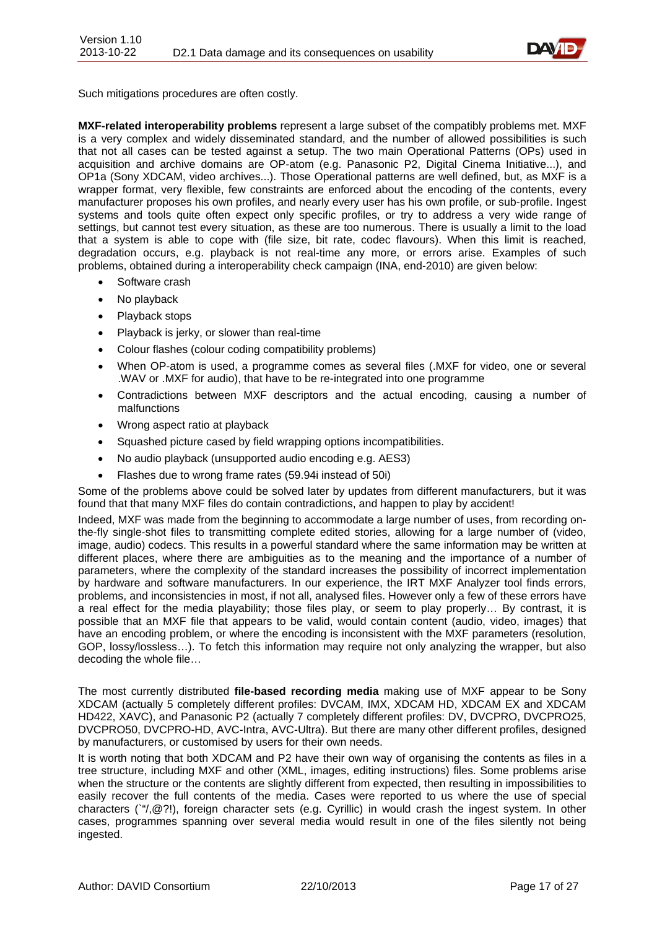

Such mitigations procedures are often costly.

**MXF-related interoperability problems** represent a large subset of the compatibly problems met. MXF is a very complex and widely disseminated standard, and the number of allowed possibilities is such that not all cases can be tested against a setup. The two main Operational Patterns (OPs) used in acquisition and archive domains are OP-atom (e.g. Panasonic P2, Digital Cinema Initiative...), and OP1a (Sony XDCAM, video archives...). Those Operational patterns are well defined, but, as MXF is a wrapper format, very flexible, few constraints are enforced about the encoding of the contents, every manufacturer proposes his own profiles, and nearly every user has his own profile, or sub-profile. Ingest systems and tools quite often expect only specific profiles, or try to address a very wide range of settings, but cannot test every situation, as these are too numerous. There is usually a limit to the load that a system is able to cope with (file size, bit rate, codec flavours). When this limit is reached, degradation occurs, e.g. playback is not real-time any more, or errors arise. Examples of such problems, obtained during a interoperability check campaign (INA, end-2010) are given below:

- Software crash
- No playback
- Playback stops
- Playback is jerky, or slower than real-time
- Colour flashes (colour coding compatibility problems)
- When OP-atom is used, a programme comes as several files (.MXF for video, one or several .WAV or .MXF for audio), that have to be re-integrated into one programme
- Contradictions between MXF descriptors and the actual encoding, causing a number of malfunctions
- Wrong aspect ratio at playback
- Squashed picture cased by field wrapping options incompatibilities.
- No audio playback (unsupported audio encoding e.g. AES3)
- Flashes due to wrong frame rates (59.94i instead of 50i)

Some of the problems above could be solved later by updates from different manufacturers, but it was found that that many MXF files do contain contradictions, and happen to play by accident!

Indeed, MXF was made from the beginning to accommodate a large number of uses, from recording onthe-fly single-shot files to transmitting complete edited stories, allowing for a large number of (video, image, audio) codecs. This results in a powerful standard where the same information may be written at different places, where there are ambiguities as to the meaning and the importance of a number of parameters, where the complexity of the standard increases the possibility of incorrect implementation by hardware and software manufacturers. In our experience, the IRT MXF Analyzer tool finds errors, problems, and inconsistencies in most, if not all, analysed files. However only a few of these errors have a real effect for the media playability; those files play, or seem to play properly… By contrast, it is possible that an MXF file that appears to be valid, would contain content (audio, video, images) that have an encoding problem, or where the encoding is inconsistent with the MXF parameters (resolution, GOP, lossy/lossless…). To fetch this information may require not only analyzing the wrapper, but also decoding the whole file…

The most currently distributed **file-based recording media** making use of MXF appear to be Sony XDCAM (actually 5 completely different profiles: DVCAM, IMX, XDCAM HD, XDCAM EX and XDCAM HD422, XAVC), and Panasonic P2 (actually 7 completely different profiles: DV, DVCPRO, DVCPRO25, DVCPRO50, DVCPRO-HD, AVC-Intra, AVC-Ultra). But there are many other different profiles, designed by manufacturers, or customised by users for their own needs.

It is worth noting that both XDCAM and P2 have their own way of organising the contents as files in a tree structure, including MXF and other (XML, images, editing instructions) files. Some problems arise when the structure or the contents are slightly different from expected, then resulting in impossibilities to easily recover the full contents of the media. Cases were reported to us where the use of special characters (`"/,@?!), foreign character sets (e.g. Cyrillic) in would crash the ingest system. In other cases, programmes spanning over several media would result in one of the files silently not being ingested.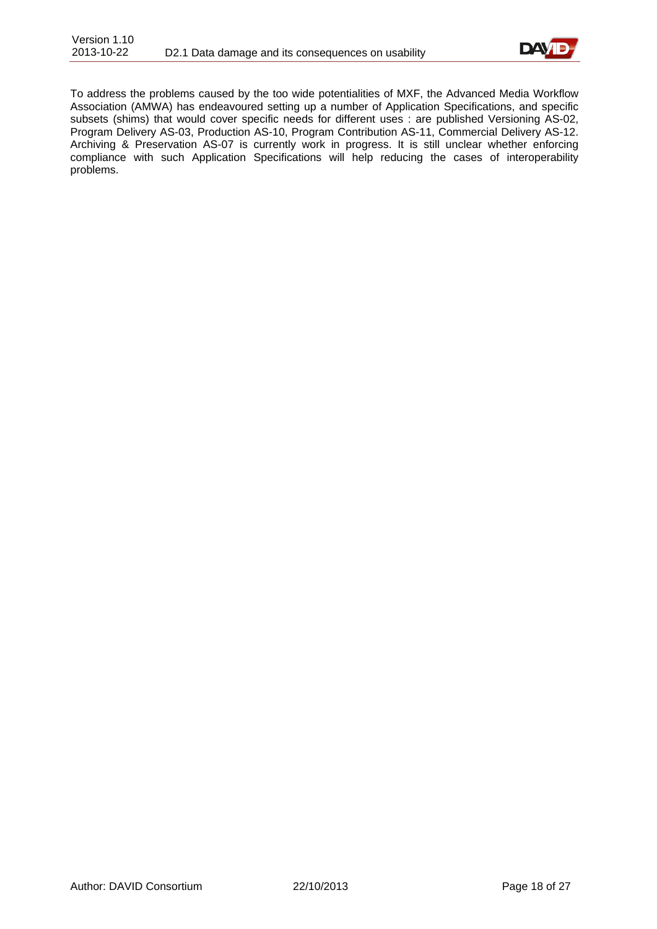

To address the problems caused by the too wide potentialities of MXF, the Advanced Media Workflow Association (AMWA) has endeavoured setting up a number of Application Specifications, and specific subsets (shims) that would cover specific needs for different uses : are published Versioning AS-02, Program Delivery AS-03, Production AS-10, Program Contribution AS-11, Commercial Delivery AS-12. Archiving & Preservation AS-07 is currently work in progress. It is still unclear whether enforcing compliance with such Application Specifications will help reducing the cases of interoperability problems.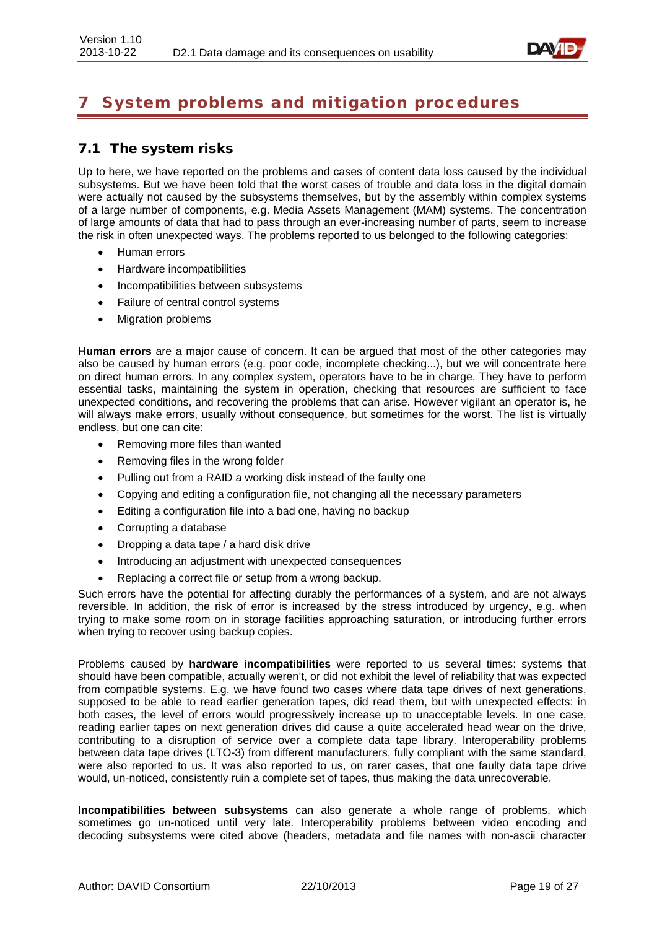

# <span id="page-18-0"></span>System problems and mitigation procedures

### <span id="page-18-1"></span>7.1 The system risks

Up to here, we have reported on the problems and cases of content data loss caused by the individual subsystems. But we have been told that the worst cases of trouble and data loss in the digital domain were actually not caused by the subsystems themselves, but by the assembly within complex systems of a large number of components, e.g. Media Assets Management (MAM) systems. The concentration of large amounts of data that had to pass through an ever-increasing number of parts, seem to increase the risk in often unexpected ways. The problems reported to us belonged to the following categories:

- Human errors
- Hardware incompatibilities
- Incompatibilities between subsystems
- Failure of central control systems
- Migration problems

**Human errors** are a major cause of concern. It can be argued that most of the other categories may also be caused by human errors (e.g. poor code, incomplete checking...), but we will concentrate here on direct human errors. In any complex system, operators have to be in charge. They have to perform essential tasks, maintaining the system in operation, checking that resources are sufficient to face unexpected conditions, and recovering the problems that can arise. However vigilant an operator is, he will always make errors, usually without consequence, but sometimes for the worst. The list is virtually endless, but one can cite:

- Removing more files than wanted
- Removing files in the wrong folder
- Pulling out from a RAID a working disk instead of the faulty one
- Copying and editing a configuration file, not changing all the necessary parameters
- Editing a configuration file into a bad one, having no backup
- Corrupting a database
- Dropping a data tape / a hard disk drive
- Introducing an adjustment with unexpected consequences
- Replacing a correct file or setup from a wrong backup.

Such errors have the potential for affecting durably the performances of a system, and are not always reversible. In addition, the risk of error is increased by the stress introduced by urgency, e.g. when trying to make some room on in storage facilities approaching saturation, or introducing further errors when trying to recover using backup copies.

Problems caused by **hardware incompatibilities** were reported to us several times: systems that should have been compatible, actually weren't, or did not exhibit the level of reliability that was expected from compatible systems. E.g. we have found two cases where data tape drives of next generations, supposed to be able to read earlier generation tapes, did read them, but with unexpected effects: in both cases, the level of errors would progressively increase up to unacceptable levels. In one case, reading earlier tapes on next generation drives did cause a quite accelerated head wear on the drive, contributing to a disruption of service over a complete data tape library. Interoperability problems between data tape drives (LTO-3) from different manufacturers, fully compliant with the same standard, were also reported to us. It was also reported to us, on rarer cases, that one faulty data tape drive would, un-noticed, consistently ruin a complete set of tapes, thus making the data unrecoverable.

**Incompatibilities between subsystems** can also generate a whole range of problems, which sometimes go un-noticed until very late. Interoperability problems between video encoding and decoding subsystems were cited above (headers, metadata and file names with non-ascii character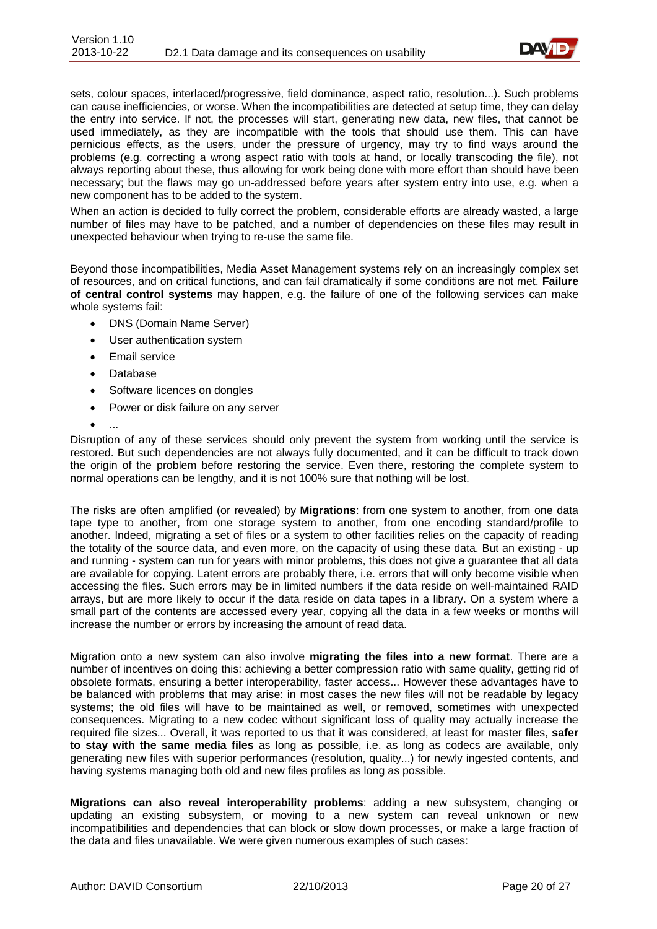

sets, colour spaces, interlaced/progressive, field dominance, aspect ratio, resolution...). Such problems can cause inefficiencies, or worse. When the incompatibilities are detected at setup time, they can delay the entry into service. If not, the processes will start, generating new data, new files, that cannot be used immediately, as they are incompatible with the tools that should use them. This can have pernicious effects, as the users, under the pressure of urgency, may try to find ways around the problems (e.g. correcting a wrong aspect ratio with tools at hand, or locally transcoding the file), not always reporting about these, thus allowing for work being done with more effort than should have been necessary; but the flaws may go un-addressed before years after system entry into use, e.g. when a new component has to be added to the system.

When an action is decided to fully correct the problem, considerable efforts are already wasted, a large number of files may have to be patched, and a number of dependencies on these files may result in unexpected behaviour when trying to re-use the same file.

Beyond those incompatibilities, Media Asset Management systems rely on an increasingly complex set of resources, and on critical functions, and can fail dramatically if some conditions are not met. **Failure of central control systems** may happen, e.g. the failure of one of the following services can make whole systems fail:

- DNS (Domain Name Server)
- User authentication system
- Email service
- Database
- Software licences on dongles
- Power or disk failure on any server
- ...

Disruption of any of these services should only prevent the system from working until the service is restored. But such dependencies are not always fully documented, and it can be difficult to track down the origin of the problem before restoring the service. Even there, restoring the complete system to normal operations can be lengthy, and it is not 100% sure that nothing will be lost.

The risks are often amplified (or revealed) by **Migrations**: from one system to another, from one data tape type to another, from one storage system to another, from one encoding standard/profile to another. Indeed, migrating a set of files or a system to other facilities relies on the capacity of reading the totality of the source data, and even more, on the capacity of using these data. But an existing - up and running - system can run for years with minor problems, this does not give a guarantee that all data are available for copying. Latent errors are probably there, i.e. errors that will only become visible when accessing the files. Such errors may be in limited numbers if the data reside on well-maintained RAID arrays, but are more likely to occur if the data reside on data tapes in a library. On a system where a small part of the contents are accessed every year, copying all the data in a few weeks or months will increase the number or errors by increasing the amount of read data.

Migration onto a new system can also involve **migrating the files into a new format**. There are a number of incentives on doing this: achieving a better compression ratio with same quality, getting rid of obsolete formats, ensuring a better interoperability, faster access... However these advantages have to be balanced with problems that may arise: in most cases the new files will not be readable by legacy systems; the old files will have to be maintained as well, or removed, sometimes with unexpected consequences. Migrating to a new codec without significant loss of quality may actually increase the required file sizes... Overall, it was reported to us that it was considered, at least for master files, **safer to stay with the same media files** as long as possible, i.e. as long as codecs are available, only generating new files with superior performances (resolution, quality...) for newly ingested contents, and having systems managing both old and new files profiles as long as possible.

**Migrations can also reveal interoperability problems**: adding a new subsystem, changing or updating an existing subsystem, or moving to a new system can reveal unknown or new incompatibilities and dependencies that can block or slow down processes, or make a large fraction of the data and files unavailable. We were given numerous examples of such cases: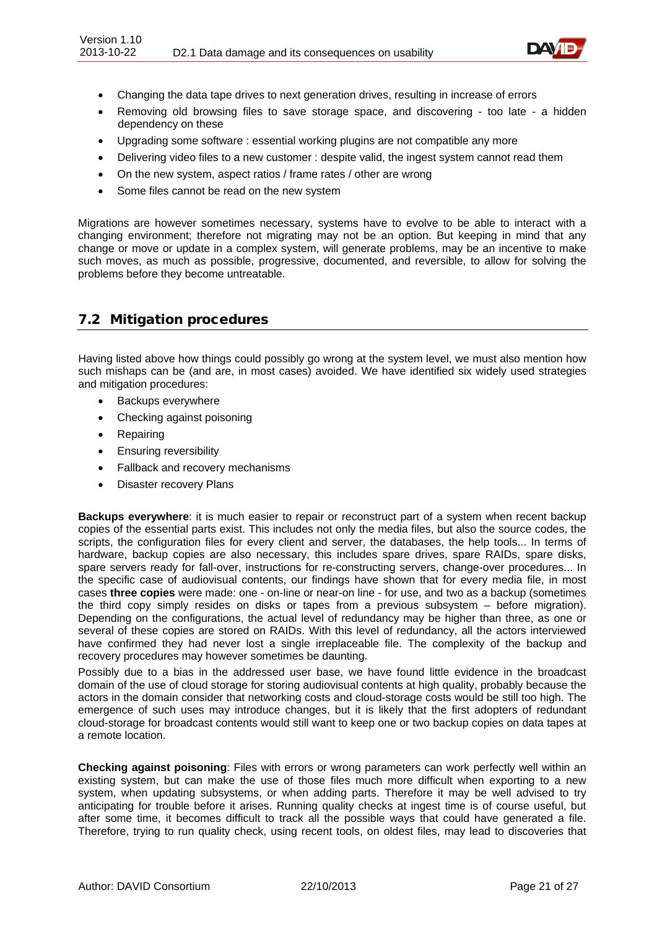

- Changing the data tape drives to next generation drives, resulting in increase of errors
- Removing old browsing files to save storage space, and discovering too late a hidden dependency on these
- Upgrading some software : essential working plugins are not compatible any more
- Delivering video files to a new customer : despite valid, the ingest system cannot read them
- On the new system, aspect ratios / frame rates / other are wrong
- Some files cannot be read on the new system

Migrations are however sometimes necessary, systems have to evolve to be able to interact with a changing environment; therefore not migrating may not be an option. But keeping in mind that any change or move or update in a complex system, will generate problems, may be an incentive to make such moves, as much as possible, progressive, documented, and reversible, to allow for solving the problems before they become untreatable.

### <span id="page-20-0"></span>7.2 Mitigation procedures

Having listed above how things could possibly go wrong at the system level, we must also mention how such mishaps can be (and are, in most cases) avoided. We have identified six widely used strategies and mitigation procedures:

- Backups everywhere
- Checking against poisoning
- **Repairing**
- Ensuring reversibility
- Fallback and recovery mechanisms
- Disaster recovery Plans

**Backups everywhere**: it is much easier to repair or reconstruct part of a system when recent backup copies of the essential parts exist. This includes not only the media files, but also the source codes, the scripts, the configuration files for every client and server, the databases, the help tools... In terms of hardware, backup copies are also necessary, this includes spare drives, spare RAIDs, spare disks, spare servers ready for fall-over, instructions for re-constructing servers, change-over procedures... In the specific case of audiovisual contents, our findings have shown that for every media file, in most cases **three copies** were made: one - on-line or near-on line - for use, and two as a backup (sometimes the third copy simply resides on disks or tapes from a previous subsystem – before migration). Depending on the configurations, the actual level of redundancy may be higher than three, as one or several of these copies are stored on RAIDs. With this level of redundancy, all the actors interviewed have confirmed they had never lost a single irreplaceable file. The complexity of the backup and recovery procedures may however sometimes be daunting.

Possibly due to a bias in the addressed user base, we have found little evidence in the broadcast domain of the use of cloud storage for storing audiovisual contents at high quality, probably because the actors in the domain consider that networking costs and cloud-storage costs would be still too high. The emergence of such uses may introduce changes, but it is likely that the first adopters of redundant cloud-storage for broadcast contents would still want to keep one or two backup copies on data tapes at a remote location.

**Checking against poisoning**: Files with errors or wrong parameters can work perfectly well within an existing system, but can make the use of those files much more difficult when exporting to a new system, when updating subsystems, or when adding parts. Therefore it may be well advised to try anticipating for trouble before it arises. Running quality checks at ingest time is of course useful, but after some time, it becomes difficult to track all the possible ways that could have generated a file. Therefore, trying to run quality check, using recent tools, on oldest files, may lead to discoveries that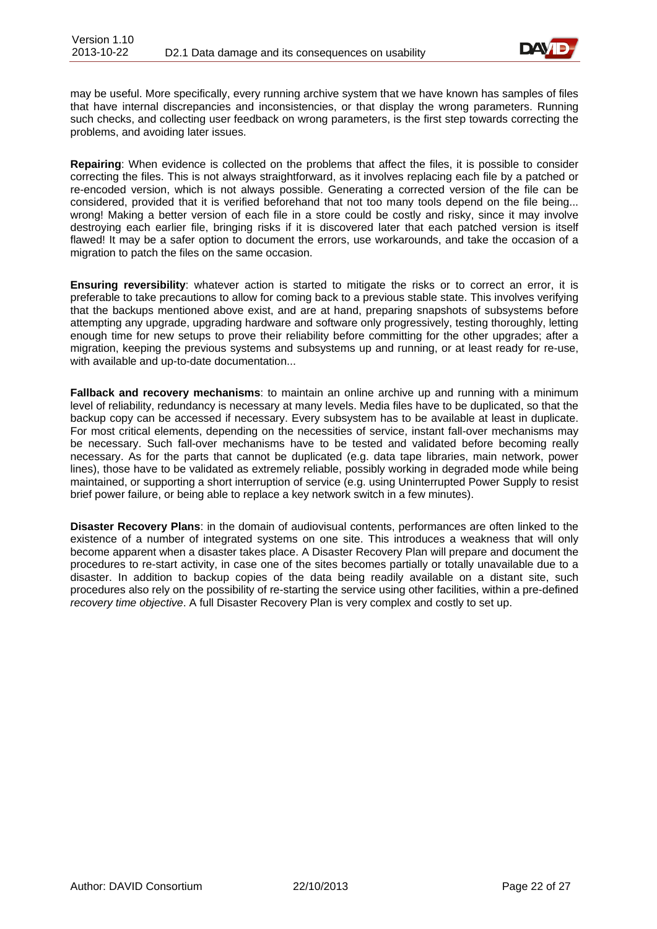

may be useful. More specifically, every running archive system that we have known has samples of files that have internal discrepancies and inconsistencies, or that display the wrong parameters. Running such checks, and collecting user feedback on wrong parameters, is the first step towards correcting the problems, and avoiding later issues.

**Repairing**: When evidence is collected on the problems that affect the files, it is possible to consider correcting the files. This is not always straightforward, as it involves replacing each file by a patched or re-encoded version, which is not always possible. Generating a corrected version of the file can be considered, provided that it is verified beforehand that not too many tools depend on the file being... wrong! Making a better version of each file in a store could be costly and risky, since it may involve destroying each earlier file, bringing risks if it is discovered later that each patched version is itself flawed! It may be a safer option to document the errors, use workarounds, and take the occasion of a migration to patch the files on the same occasion.

**Ensuring reversibility**: whatever action is started to mitigate the risks or to correct an error, it is preferable to take precautions to allow for coming back to a previous stable state. This involves verifying that the backups mentioned above exist, and are at hand, preparing snapshots of subsystems before attempting any upgrade, upgrading hardware and software only progressively, testing thoroughly, letting enough time for new setups to prove their reliability before committing for the other upgrades; after a migration, keeping the previous systems and subsystems up and running, or at least ready for re-use, with available and up-to-date documentation...

**Fallback and recovery mechanisms**: to maintain an online archive up and running with a minimum level of reliability, redundancy is necessary at many levels. Media files have to be duplicated, so that the backup copy can be accessed if necessary. Every subsystem has to be available at least in duplicate. For most critical elements, depending on the necessities of service, instant fall-over mechanisms may be necessary. Such fall-over mechanisms have to be tested and validated before becoming really necessary. As for the parts that cannot be duplicated (e.g. data tape libraries, main network, power lines), those have to be validated as extremely reliable, possibly working in degraded mode while being maintained, or supporting a short interruption of service (e.g. using Uninterrupted Power Supply to resist brief power failure, or being able to replace a key network switch in a few minutes).

**Disaster Recovery Plans**: in the domain of audiovisual contents, performances are often linked to the existence of a number of integrated systems on one site. This introduces a weakness that will only become apparent when a disaster takes place. A Disaster Recovery Plan will prepare and document the procedures to re-start activity, in case one of the sites becomes partially or totally unavailable due to a disaster. In addition to backup copies of the data being readily available on a distant site, such procedures also rely on the possibility of re-starting the service using other facilities, within a pre-defined *recovery time objective*. A full Disaster Recovery Plan is very complex and costly to set up.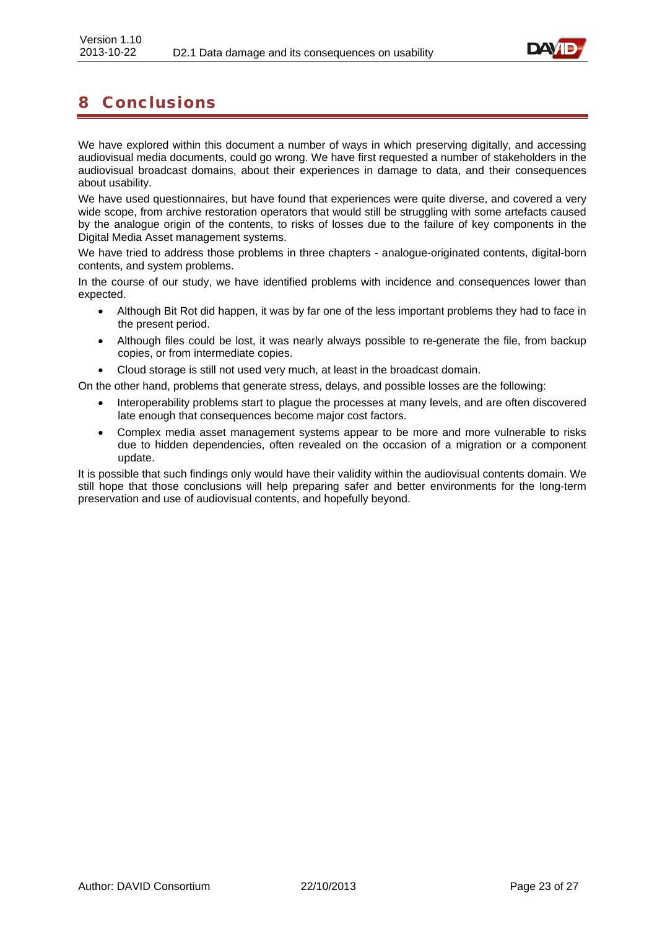

# <span id="page-22-0"></span>8 Conclusions

We have explored within this document a number of ways in which preserving digitally, and accessing audiovisual media documents, could go wrong. We have first requested a number of stakeholders in the audiovisual broadcast domains, about their experiences in damage to data, and their consequences about usability.

We have used questionnaires, but have found that experiences were quite diverse, and covered a very wide scope, from archive restoration operators that would still be struggling with some artefacts caused by the analogue origin of the contents, to risks of losses due to the failure of key components in the Digital Media Asset management systems.

We have tried to address those problems in three chapters - analogue-originated contents, digital-born contents, and system problems.

In the course of our study, we have identified problems with incidence and consequences lower than expected.

- Although Bit Rot did happen, it was by far one of the less important problems they had to face in the present period.
- Although files could be lost, it was nearly always possible to re-generate the file, from backup copies, or from intermediate copies.
- Cloud storage is still not used very much, at least in the broadcast domain.

On the other hand, problems that generate stress, delays, and possible losses are the following:

- Interoperability problems start to plague the processes at many levels, and are often discovered late enough that consequences become major cost factors.
- Complex media asset management systems appear to be more and more vulnerable to risks due to hidden dependencies, often revealed on the occasion of a migration or a component update.

It is possible that such findings only would have their validity within the audiovisual contents domain. We still hope that those conclusions will help preparing safer and better environments for the long-term preservation and use of audiovisual contents, and hopefully beyond.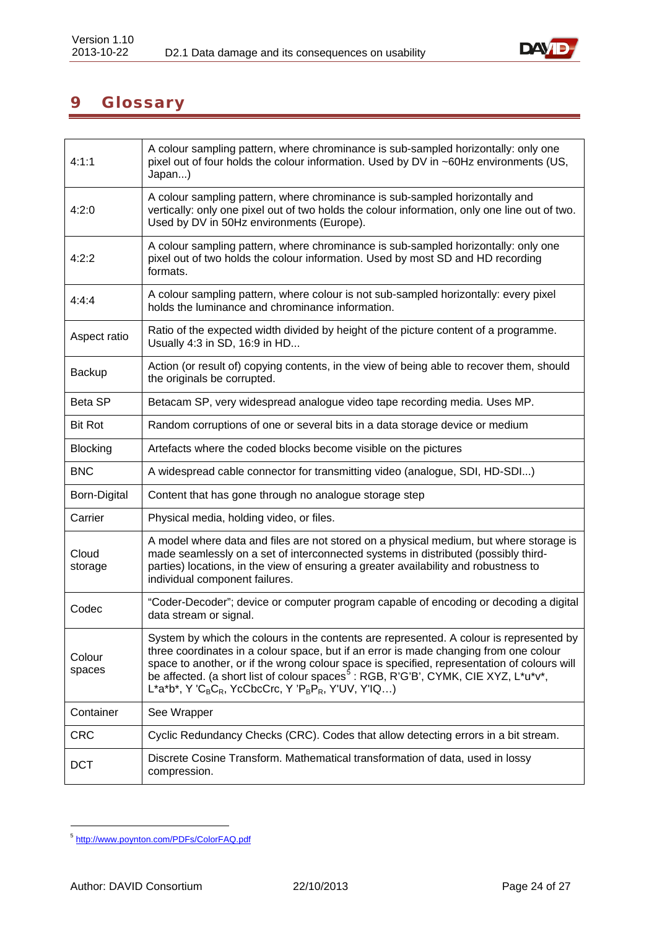

# <span id="page-23-0"></span>9 Glossary

| 4:1:1               | A colour sampling pattern, where chrominance is sub-sampled horizontally: only one<br>pixel out of four holds the colour information. Used by DV in ~60Hz environments (US,<br>Japan)                                                                                                                                                                                                                                                                                                    |
|---------------------|------------------------------------------------------------------------------------------------------------------------------------------------------------------------------------------------------------------------------------------------------------------------------------------------------------------------------------------------------------------------------------------------------------------------------------------------------------------------------------------|
| 4:2:0               | A colour sampling pattern, where chrominance is sub-sampled horizontally and<br>vertically: only one pixel out of two holds the colour information, only one line out of two.<br>Used by DV in 50Hz environments (Europe).                                                                                                                                                                                                                                                               |
| 4:2:2               | A colour sampling pattern, where chrominance is sub-sampled horizontally: only one<br>pixel out of two holds the colour information. Used by most SD and HD recording<br>formats.                                                                                                                                                                                                                                                                                                        |
| 4:4:4               | A colour sampling pattern, where colour is not sub-sampled horizontally: every pixel<br>holds the luminance and chrominance information.                                                                                                                                                                                                                                                                                                                                                 |
| Aspect ratio        | Ratio of the expected width divided by height of the picture content of a programme.<br>Usually 4:3 in SD, 16:9 in HD                                                                                                                                                                                                                                                                                                                                                                    |
| Backup              | Action (or result of) copying contents, in the view of being able to recover them, should<br>the originals be corrupted.                                                                                                                                                                                                                                                                                                                                                                 |
| Beta SP             | Betacam SP, very widespread analogue video tape recording media. Uses MP.                                                                                                                                                                                                                                                                                                                                                                                                                |
| <b>Bit Rot</b>      | Random corruptions of one or several bits in a data storage device or medium                                                                                                                                                                                                                                                                                                                                                                                                             |
| <b>Blocking</b>     | Artefacts where the coded blocks become visible on the pictures                                                                                                                                                                                                                                                                                                                                                                                                                          |
| <b>BNC</b>          | A widespread cable connector for transmitting video (analogue, SDI, HD-SDI)                                                                                                                                                                                                                                                                                                                                                                                                              |
| <b>Born-Digital</b> | Content that has gone through no analogue storage step                                                                                                                                                                                                                                                                                                                                                                                                                                   |
| Carrier             | Physical media, holding video, or files.                                                                                                                                                                                                                                                                                                                                                                                                                                                 |
| Cloud<br>storage    | A model where data and files are not stored on a physical medium, but where storage is<br>made seamlessly on a set of interconnected systems in distributed (possibly third-<br>parties) locations, in the view of ensuring a greater availability and robustness to<br>individual component failures.                                                                                                                                                                                   |
| Codec               | "Coder-Decoder"; device or computer program capable of encoding or decoding a digital<br>data stream or signal.                                                                                                                                                                                                                                                                                                                                                                          |
| Colour<br>spaces    | System by which the colours in the contents are represented. A colour is represented by<br>three coordinates in a colour space, but if an error is made changing from one colour<br>space to another, or if the wrong colour space is specified, representation of colours will<br>be affected. (a short list of colour spaces <sup>5</sup> : RGB, R'G'B', CYMK, CIE XYZ, L*u*v*,<br>L*a*b*, Y 'C <sub>B</sub> C <sub>R</sub> , YcCbcCrc, Y 'P <sub>B</sub> P <sub>R</sub> , Y'UV, Y'IQ) |
| Container           | See Wrapper                                                                                                                                                                                                                                                                                                                                                                                                                                                                              |
| <b>CRC</b>          | Cyclic Redundancy Checks (CRC). Codes that allow detecting errors in a bit stream.                                                                                                                                                                                                                                                                                                                                                                                                       |
| <b>DCT</b>          | Discrete Cosine Transform. Mathematical transformation of data, used in lossy<br>compression.                                                                                                                                                                                                                                                                                                                                                                                            |

<span id="page-23-1"></span> <sup>5</sup> <http://www.poynton.com/PDFs/ColorFAQ.pdf>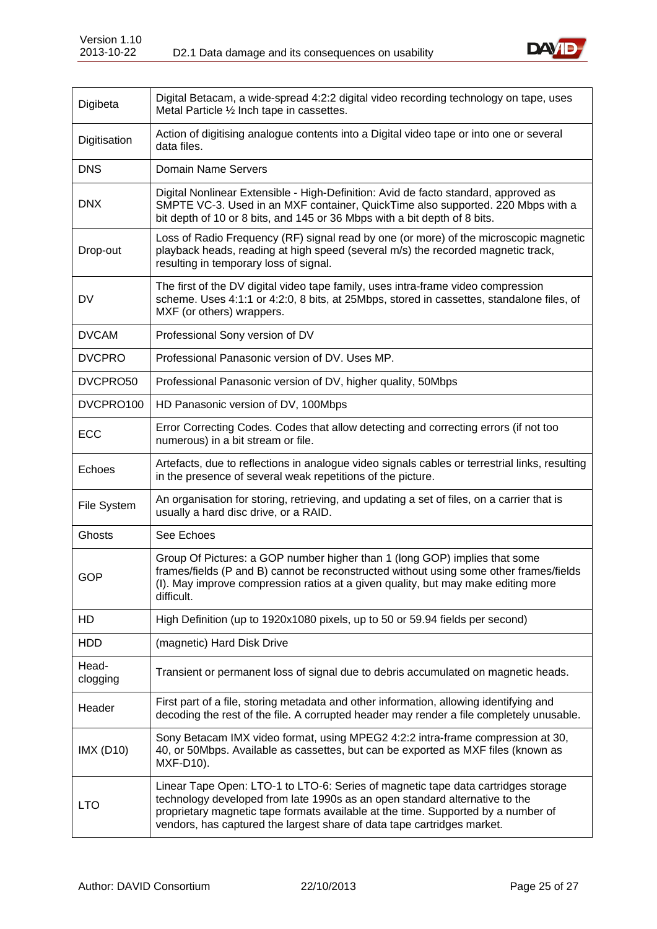

| Digibeta          | Digital Betacam, a wide-spread 4:2:2 digital video recording technology on tape, uses<br>Metal Particle 1/2 Inch tape in cassettes.                                                                                                                                                                                              |
|-------------------|----------------------------------------------------------------------------------------------------------------------------------------------------------------------------------------------------------------------------------------------------------------------------------------------------------------------------------|
| Digitisation      | Action of digitising analogue contents into a Digital video tape or into one or several<br>data files.                                                                                                                                                                                                                           |
| <b>DNS</b>        | <b>Domain Name Servers</b>                                                                                                                                                                                                                                                                                                       |
| <b>DNX</b>        | Digital Nonlinear Extensible - High-Definition: Avid de facto standard, approved as<br>SMPTE VC-3. Used in an MXF container, QuickTime also supported. 220 Mbps with a<br>bit depth of 10 or 8 bits, and 145 or 36 Mbps with a bit depth of 8 bits.                                                                              |
| Drop-out          | Loss of Radio Frequency (RF) signal read by one (or more) of the microscopic magnetic<br>playback heads, reading at high speed (several m/s) the recorded magnetic track,<br>resulting in temporary loss of signal.                                                                                                              |
| DV                | The first of the DV digital video tape family, uses intra-frame video compression<br>scheme. Uses 4:1:1 or 4:2:0, 8 bits, at 25Mbps, stored in cassettes, standalone files, of<br>MXF (or others) wrappers.                                                                                                                      |
| <b>DVCAM</b>      | Professional Sony version of DV                                                                                                                                                                                                                                                                                                  |
| <b>DVCPRO</b>     | Professional Panasonic version of DV. Uses MP.                                                                                                                                                                                                                                                                                   |
| DVCPRO50          | Professional Panasonic version of DV, higher quality, 50Mbps                                                                                                                                                                                                                                                                     |
| DVCPRO100         | HD Panasonic version of DV, 100Mbps                                                                                                                                                                                                                                                                                              |
| ECC               | Error Correcting Codes. Codes that allow detecting and correcting errors (if not too<br>numerous) in a bit stream or file.                                                                                                                                                                                                       |
| Echoes            | Artefacts, due to reflections in analogue video signals cables or terrestrial links, resulting<br>in the presence of several weak repetitions of the picture.                                                                                                                                                                    |
| File System       | An organisation for storing, retrieving, and updating a set of files, on a carrier that is<br>usually a hard disc drive, or a RAID.                                                                                                                                                                                              |
| <b>Ghosts</b>     | See Echoes                                                                                                                                                                                                                                                                                                                       |
| GOP               | Group Of Pictures: a GOP number higher than 1 (long GOP) implies that some<br>frames/fields (P and B) cannot be reconstructed without using some other frames/fields<br>(I). May improve compression ratios at a given quality, but may make editing more<br>difficult.                                                          |
| HD                | High Definition (up to 1920x1080 pixels, up to 50 or 59.94 fields per second)                                                                                                                                                                                                                                                    |
| <b>HDD</b>        | (magnetic) Hard Disk Drive                                                                                                                                                                                                                                                                                                       |
| Head-<br>clogging | Transient or permanent loss of signal due to debris accumulated on magnetic heads.                                                                                                                                                                                                                                               |
| Header            | First part of a file, storing metadata and other information, allowing identifying and<br>decoding the rest of the file. A corrupted header may render a file completely unusable.                                                                                                                                               |
| <b>IMX (D10)</b>  | Sony Betacam IMX video format, using MPEG2 4:2:2 intra-frame compression at 30,<br>40, or 50Mbps. Available as cassettes, but can be exported as MXF files (known as<br>MXF-D10).                                                                                                                                                |
| <b>LTO</b>        | Linear Tape Open: LTO-1 to LTO-6: Series of magnetic tape data cartridges storage<br>technology developed from late 1990s as an open standard alternative to the<br>proprietary magnetic tape formats available at the time. Supported by a number of<br>vendors, has captured the largest share of data tape cartridges market. |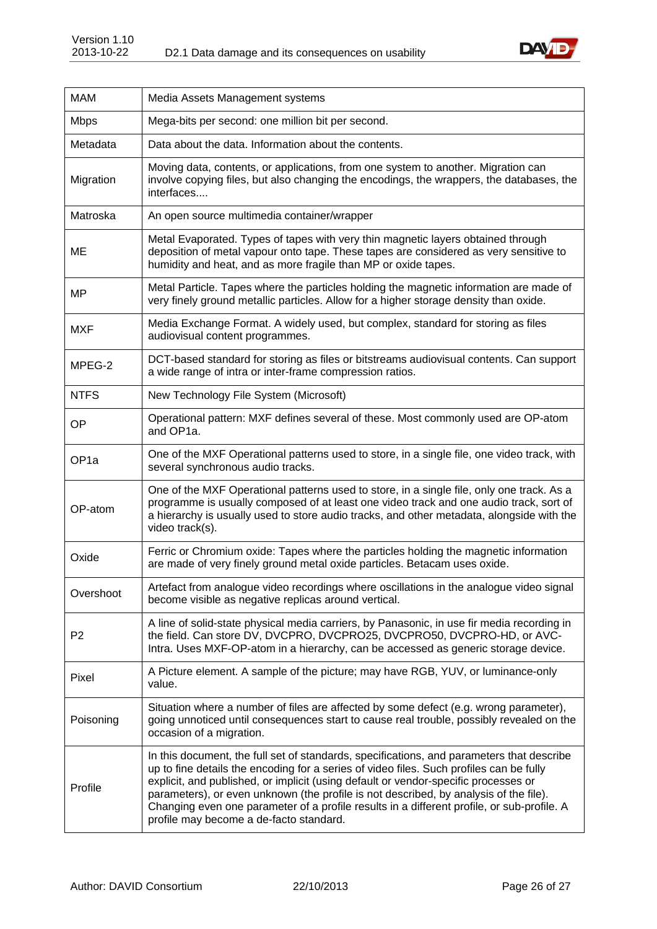

| <b>MAM</b>        | Media Assets Management systems                                                                                                                                                                                                                                                                                                                                                                                                                                                                               |
|-------------------|---------------------------------------------------------------------------------------------------------------------------------------------------------------------------------------------------------------------------------------------------------------------------------------------------------------------------------------------------------------------------------------------------------------------------------------------------------------------------------------------------------------|
| <b>Mbps</b>       | Mega-bits per second: one million bit per second.                                                                                                                                                                                                                                                                                                                                                                                                                                                             |
| Metadata          | Data about the data. Information about the contents.                                                                                                                                                                                                                                                                                                                                                                                                                                                          |
| Migration         | Moving data, contents, or applications, from one system to another. Migration can<br>involve copying files, but also changing the encodings, the wrappers, the databases, the<br>interfaces                                                                                                                                                                                                                                                                                                                   |
| Matroska          | An open source multimedia container/wrapper                                                                                                                                                                                                                                                                                                                                                                                                                                                                   |
| MЕ                | Metal Evaporated. Types of tapes with very thin magnetic layers obtained through<br>deposition of metal vapour onto tape. These tapes are considered as very sensitive to<br>humidity and heat, and as more fragile than MP or oxide tapes.                                                                                                                                                                                                                                                                   |
| <b>MP</b>         | Metal Particle. Tapes where the particles holding the magnetic information are made of<br>very finely ground metallic particles. Allow for a higher storage density than oxide.                                                                                                                                                                                                                                                                                                                               |
| <b>MXF</b>        | Media Exchange Format. A widely used, but complex, standard for storing as files<br>audiovisual content programmes.                                                                                                                                                                                                                                                                                                                                                                                           |
| MPEG-2            | DCT-based standard for storing as files or bitstreams audiovisual contents. Can support<br>a wide range of intra or inter-frame compression ratios.                                                                                                                                                                                                                                                                                                                                                           |
| <b>NTFS</b>       | New Technology File System (Microsoft)                                                                                                                                                                                                                                                                                                                                                                                                                                                                        |
| OP                | Operational pattern: MXF defines several of these. Most commonly used are OP-atom<br>and OP1a.                                                                                                                                                                                                                                                                                                                                                                                                                |
| OP <sub>1</sub> a | One of the MXF Operational patterns used to store, in a single file, one video track, with<br>several synchronous audio tracks.                                                                                                                                                                                                                                                                                                                                                                               |
| OP-atom           | One of the MXF Operational patterns used to store, in a single file, only one track. As a<br>programme is usually composed of at least one video track and one audio track, sort of<br>a hierarchy is usually used to store audio tracks, and other metadata, alongside with the<br>video track(s).                                                                                                                                                                                                           |
| Oxide             | Ferric or Chromium oxide: Tapes where the particles holding the magnetic information<br>are made of very finely ground metal oxide particles. Betacam uses oxide.                                                                                                                                                                                                                                                                                                                                             |
| Overshoot         | Artefact from analogue video recordings where oscillations in the analogue video signal<br>become visible as negative replicas around vertical.                                                                                                                                                                                                                                                                                                                                                               |
| P <sub>2</sub>    | A line of solid-state physical media carriers, by Panasonic, in use fir media recording in<br>the field. Can store DV, DVCPRO, DVCPRO25, DVCPRO50, DVCPRO-HD, or AVC-<br>Intra. Uses MXF-OP-atom in a hierarchy, can be accessed as generic storage device.                                                                                                                                                                                                                                                   |
| Pixel             | A Picture element. A sample of the picture; may have RGB, YUV, or luminance-only<br>value.                                                                                                                                                                                                                                                                                                                                                                                                                    |
| Poisoning         | Situation where a number of files are affected by some defect (e.g. wrong parameter),<br>going unnoticed until consequences start to cause real trouble, possibly revealed on the<br>occasion of a migration.                                                                                                                                                                                                                                                                                                 |
| Profile           | In this document, the full set of standards, specifications, and parameters that describe<br>up to fine details the encoding for a series of video files. Such profiles can be fully<br>explicit, and published, or implicit (using default or vendor-specific processes or<br>parameters), or even unknown (the profile is not described, by analysis of the file).<br>Changing even one parameter of a profile results in a different profile, or sub-profile. A<br>profile may become a de-facto standard. |